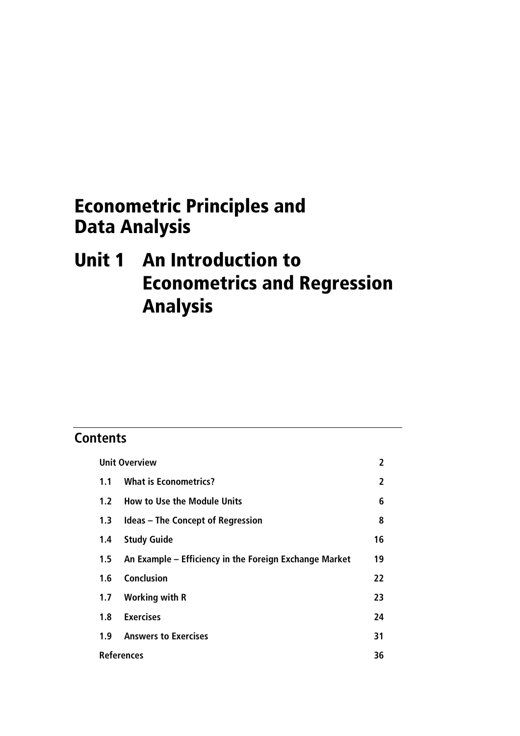# Econometric Principles and Data Analysis

# Unit 1 An Introduction to Econometrics and Regression Analysis

# **Contents**

| <b>Unit Overview</b> |                                                        | 2  |
|----------------------|--------------------------------------------------------|----|
| 1.1                  | <b>What is Econometrics?</b>                           |    |
| 1.2 <sub>1</sub>     | <b>How to Use the Module Units</b>                     |    |
| 1.3                  | <b>Ideas – The Concept of Regression</b>               |    |
| 1.4                  | <b>Study Guide</b>                                     | 16 |
| 1.5                  | An Example – Efficiency in the Foreign Exchange Market | 19 |
| 1.6                  | <b>Conclusion</b>                                      | 22 |
| 1.7                  | <b>Working with R</b>                                  | 23 |
| 1.8                  | <b>Exercises</b>                                       | 24 |
| 1.9                  | <b>Answers to Exercises</b>                            | 31 |
| <b>References</b>    |                                                        | 36 |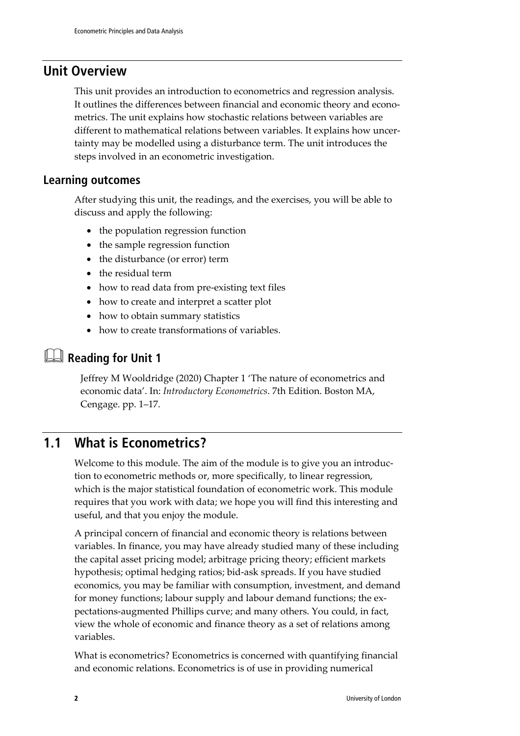### **Unit Overview**

This unit provides an introduction to econometrics and regression analysis. It outlines the differences between financial and economic theory and econometrics. The unit explains how stochastic relations between variables are different to mathematical relations between variables. It explains how uncertainty may be modelled using a disturbance term. The unit introduces the steps involved in an econometric investigation.

### **Learning outcomes**

After studying this unit, the readings, and the exercises, you will be able to discuss and apply the following:

- the population regression function
- the sample regression function
- the disturbance (or error) term
- the residual term
- how to read data from pre-existing text files
- how to create and interpret a scatter plot
- how to obtain summary statistics
- how to create transformations of variables.

# **Reading for Unit 1**

Jeffrey M Wooldridge (2020) Chapter 1 'The nature of econometrics and economic data'. In: *Introductory Econometrics*. 7th Edition. Boston MA, Cengage. pp. 1–17.

### **1.1 What is Econometrics?**

Welcome to this module. The aim of the module is to give you an introduction to econometric methods or, more specifically, to linear regression, which is the major statistical foundation of econometric work. This module requires that you work with data; we hope you will find this interesting and useful, and that you enjoy the module.

A principal concern of financial and economic theory is relations between variables. In finance, you may have already studied many of these including the capital asset pricing model; arbitrage pricing theory; efficient markets hypothesis; optimal hedging ratios; bid-ask spreads. If you have studied economics, you may be familiar with consumption, investment, and demand for money functions; labour supply and labour demand functions; the expectations-augmented Phillips curve; and many others. You could, in fact, view the whole of economic and finance theory as a set of relations among variables.

What is econometrics? Econometrics is concerned with quantifying financial and economic relations. Econometrics is of use in providing numerical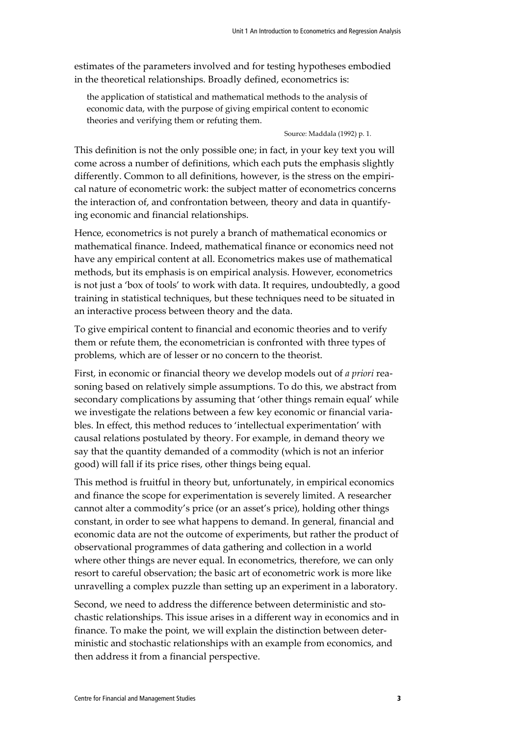estimates of the parameters involved and for testing hypotheses embodied in the theoretical relationships. Broadly defined, econometrics is:

the application of statistical and mathematical methods to the analysis of economic data, with the purpose of giving empirical content to economic theories and verifying them or refuting them.

Source: Maddala (1992) p. 1.

This definition is not the only possible one; in fact, in your key text you will come across a number of definitions, which each puts the emphasis slightly differently. Common to all definitions, however, is the stress on the empirical nature of econometric work: the subject matter of econometrics concerns the interaction of, and confrontation between, theory and data in quantifying economic and financial relationships.

Hence, econometrics is not purely a branch of mathematical economics or mathematical finance. Indeed, mathematical finance or economics need not have any empirical content at all. Econometrics makes use of mathematical methods, but its emphasis is on empirical analysis. However, econometrics is not just a 'box of tools' to work with data. It requires, undoubtedly, a good training in statistical techniques, but these techniques need to be situated in an interactive process between theory and the data.

To give empirical content to financial and economic theories and to verify them or refute them, the econometrician is confronted with three types of problems, which are of lesser or no concern to the theorist.

First, in economic or financial theory we develop models out of *a priori* reasoning based on relatively simple assumptions. To do this, we abstract from secondary complications by assuming that 'other things remain equal' while we investigate the relations between a few key economic or financial variables. In effect, this method reduces to 'intellectual experimentation' with causal relations postulated by theory. For example, in demand theory we say that the quantity demanded of a commodity (which is not an inferior good) will fall if its price rises, other things being equal.

This method is fruitful in theory but, unfortunately, in empirical economics and finance the scope for experimentation is severely limited. A researcher cannot alter a commodity's price (or an asset's price), holding other things constant, in order to see what happens to demand. In general, financial and economic data are not the outcome of experiments, but rather the product of observational programmes of data gathering and collection in a world where other things are never equal. In econometrics, therefore, we can only resort to careful observation; the basic art of econometric work is more like unravelling a complex puzzle than setting up an experiment in a laboratory.

Second, we need to address the difference between deterministic and stochastic relationships. This issue arises in a different way in economics and in finance. To make the point, we will explain the distinction between deterministic and stochastic relationships with an example from economics, and then address it from a financial perspective.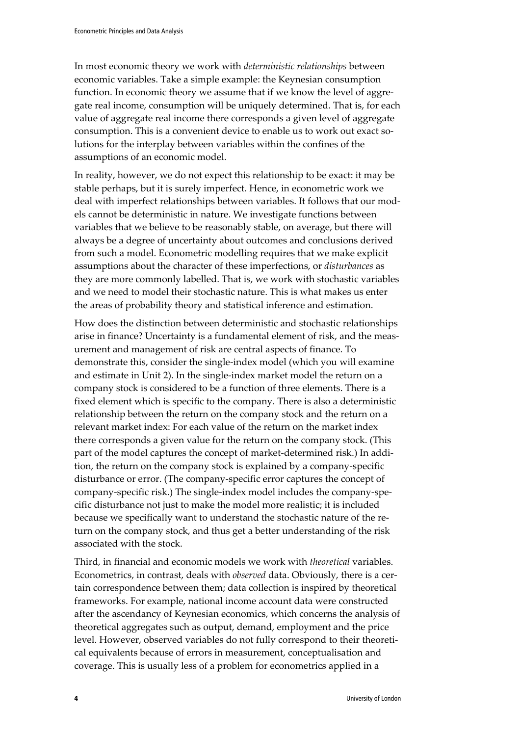In most economic theory we work with *deterministic relationships* between economic variables. Take a simple example: the Keynesian consumption function. In economic theory we assume that if we know the level of aggregate real income, consumption will be uniquely determined. That is, for each value of aggregate real income there corresponds a given level of aggregate consumption. This is a convenient device to enable us to work out exact solutions for the interplay between variables within the confines of the assumptions of an economic model.

In reality, however, we do not expect this relationship to be exact: it may be stable perhaps, but it is surely imperfect. Hence, in econometric work we deal with imperfect relationships between variables. It follows that our models cannot be deterministic in nature. We investigate functions between variables that we believe to be reasonably stable, on average, but there will always be a degree of uncertainty about outcomes and conclusions derived from such a model. Econometric modelling requires that we make explicit assumptions about the character of these imperfections, or *disturbances* as they are more commonly labelled. That is, we work with stochastic variables and we need to model their stochastic nature. This is what makes us enter the areas of probability theory and statistical inference and estimation.

How does the distinction between deterministic and stochastic relationships arise in finance? Uncertainty is a fundamental element of risk, and the measurement and management of risk are central aspects of finance. To demonstrate this, consider the single-index model (which you will examine and estimate in Unit 2). In the single-index market model the return on a company stock is considered to be a function of three elements. There is a fixed element which is specific to the company. There is also a deterministic relationship between the return on the company stock and the return on a relevant market index: For each value of the return on the market index there corresponds a given value for the return on the company stock. (This part of the model captures the concept of market-determined risk.) In addition, the return on the company stock is explained by a company-specific disturbance or error. (The company-specific error captures the concept of company-specific risk.) The single-index model includes the company-specific disturbance not just to make the model more realistic; it is included because we specifically want to understand the stochastic nature of the return on the company stock, and thus get a better understanding of the risk associated with the stock.

Third, in financial and economic models we work with *theoretical* variables. Econometrics, in contrast, deals with *observed* data. Obviously, there is a certain correspondence between them; data collection is inspired by theoretical frameworks. For example, national income account data were constructed after the ascendancy of Keynesian economics, which concerns the analysis of theoretical aggregates such as output, demand, employment and the price level. However, observed variables do not fully correspond to their theoretical equivalents because of errors in measurement, conceptualisation and coverage. This is usually less of a problem for econometrics applied in a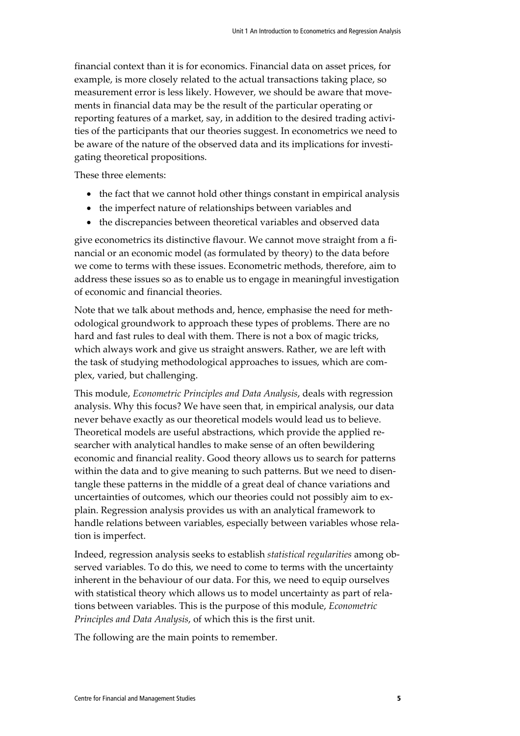financial context than it is for economics. Financial data on asset prices, for example, is more closely related to the actual transactions taking place, so measurement error is less likely. However, we should be aware that movements in financial data may be the result of the particular operating or reporting features of a market, say, in addition to the desired trading activities of the participants that our theories suggest. In econometrics we need to be aware of the nature of the observed data and its implications for investigating theoretical propositions.

These three elements:

- the fact that we cannot hold other things constant in empirical analysis
- the imperfect nature of relationships between variables and
- the discrepancies between theoretical variables and observed data

give econometrics its distinctive flavour. We cannot move straight from a financial or an economic model (as formulated by theory) to the data before we come to terms with these issues. Econometric methods, therefore, aim to address these issues so as to enable us to engage in meaningful investigation of economic and financial theories.

Note that we talk about methods and, hence, emphasise the need for methodological groundwork to approach these types of problems. There are no hard and fast rules to deal with them. There is not a box of magic tricks, which always work and give us straight answers. Rather, we are left with the task of studying methodological approaches to issues, which are complex, varied, but challenging.

This module, *Econometric Principles and Data Analysis*, deals with regression analysis. Why this focus? We have seen that, in empirical analysis, our data never behave exactly as our theoretical models would lead us to believe. Theoretical models are useful abstractions, which provide the applied researcher with analytical handles to make sense of an often bewildering economic and financial reality. Good theory allows us to search for patterns within the data and to give meaning to such patterns. But we need to disentangle these patterns in the middle of a great deal of chance variations and uncertainties of outcomes, which our theories could not possibly aim to explain. Regression analysis provides us with an analytical framework to handle relations between variables, especially between variables whose relation is imperfect.

Indeed, regression analysis seeks to establish *statistical regularities* among observed variables. To do this, we need to come to terms with the uncertainty inherent in the behaviour of our data. For this, we need to equip ourselves with statistical theory which allows us to model uncertainty as part of relations between variables. This is the purpose of this module, *Econometric Principles and Data Analysis*, of which this is the first unit.

The following are the main points to remember.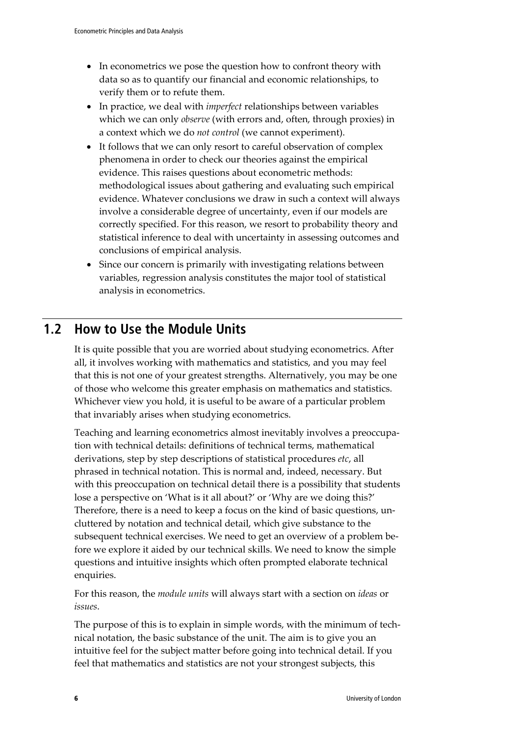- In econometrics we pose the question how to confront theory with data so as to quantify our financial and economic relationships, to verify them or to refute them.
- In practice, we deal with *imperfect* relationships between variables which we can only *observe* (with errors and, often, through proxies) in a context which we do *not control* (we cannot experiment).
- It follows that we can only resort to careful observation of complex phenomena in order to check our theories against the empirical evidence. This raises questions about econometric methods: methodological issues about gathering and evaluating such empirical evidence. Whatever conclusions we draw in such a context will always involve a considerable degree of uncertainty, even if our models are correctly specified. For this reason, we resort to probability theory and statistical inference to deal with uncertainty in assessing outcomes and conclusions of empirical analysis.
- Since our concern is primarily with investigating relations between variables, regression analysis constitutes the major tool of statistical analysis in econometrics.

### **1.2 How to Use the Module Units**

It is quite possible that you are worried about studying econometrics. After all, it involves working with mathematics and statistics, and you may feel that this is not one of your greatest strengths. Alternatively, you may be one of those who welcome this greater emphasis on mathematics and statistics. Whichever view you hold, it is useful to be aware of a particular problem that invariably arises when studying econometrics.

Teaching and learning econometrics almost inevitably involves a preoccupation with technical details: definitions of technical terms, mathematical derivations, step by step descriptions of statistical procedures *etc*, all phrased in technical notation. This is normal and, indeed, necessary. But with this preoccupation on technical detail there is a possibility that students lose a perspective on 'What is it all about?' or 'Why are we doing this?' Therefore, there is a need to keep a focus on the kind of basic questions, uncluttered by notation and technical detail, which give substance to the subsequent technical exercises. We need to get an overview of a problem before we explore it aided by our technical skills. We need to know the simple questions and intuitive insights which often prompted elaborate technical enquiries.

For this reason, the *module units* will always start with a section on *ideas* or *issues*.

The purpose of this is to explain in simple words, with the minimum of technical notation, the basic substance of the unit. The aim is to give you an intuitive feel for the subject matter before going into technical detail. If you feel that mathematics and statistics are not your strongest subjects, this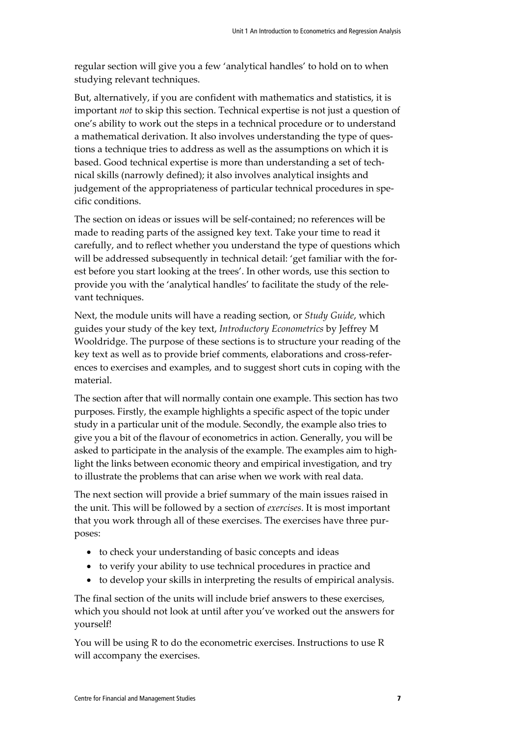regular section will give you a few 'analytical handles' to hold on to when studying relevant techniques.

But, alternatively, if you are confident with mathematics and statistics, it is important *not* to skip this section. Technical expertise is not just a question of one's ability to work out the steps in a technical procedure or to understand a mathematical derivation. It also involves understanding the type of questions a technique tries to address as well as the assumptions on which it is based. Good technical expertise is more than understanding a set of technical skills (narrowly defined); it also involves analytical insights and judgement of the appropriateness of particular technical procedures in specific conditions.

The section on ideas or issues will be self-contained; no references will be made to reading parts of the assigned key text. Take your time to read it carefully, and to reflect whether you understand the type of questions which will be addressed subsequently in technical detail: 'get familiar with the forest before you start looking at the trees'. In other words, use this section to provide you with the 'analytical handles' to facilitate the study of the relevant techniques.

Next, the module units will have a reading section, or *Study Guide*, which guides your study of the key text, *Introductory Econometrics* by Jeffrey M Wooldridge. The purpose of these sections is to structure your reading of the key text as well as to provide brief comments, elaborations and cross-references to exercises and examples, and to suggest short cuts in coping with the material.

The section after that will normally contain one example. This section has two purposes. Firstly, the example highlights a specific aspect of the topic under study in a particular unit of the module. Secondly, the example also tries to give you a bit of the flavour of econometrics in action. Generally, you will be asked to participate in the analysis of the example. The examples aim to highlight the links between economic theory and empirical investigation, and try to illustrate the problems that can arise when we work with real data.

The next section will provide a brief summary of the main issues raised in the unit. This will be followed by a section of *exercises*. It is most important that you work through all of these exercises. The exercises have three purposes:

- to check your understanding of basic concepts and ideas
- to verify your ability to use technical procedures in practice and
- to develop your skills in interpreting the results of empirical analysis.

The final section of the units will include brief answers to these exercises, which you should not look at until after you've worked out the answers for yourself!

You will be using R to do the econometric exercises. Instructions to use R will accompany the exercises.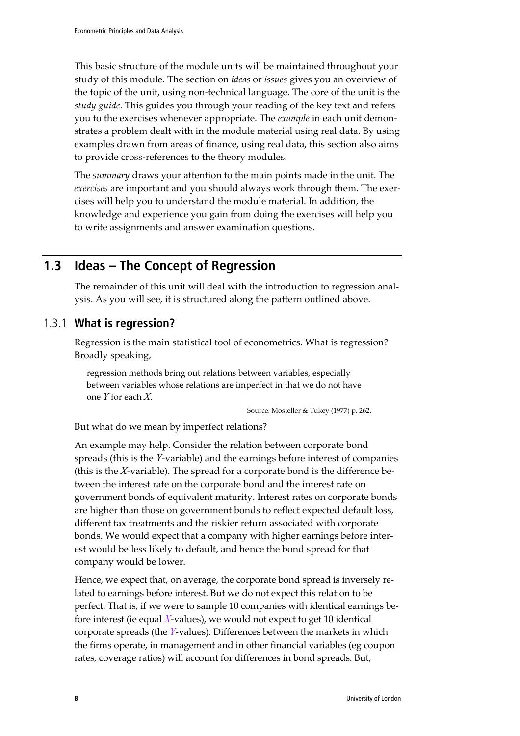This basic structure of the module units will be maintained throughout your study of this module. The section on *ideas* or *issues* gives you an overview of the topic of the unit, using non-technical language. The core of the unit is the *study guide*. This guides you through your reading of the key text and refers you to the exercises whenever appropriate. The *example* in each unit demonstrates a problem dealt with in the module material using real data. By using examples drawn from areas of finance, using real data, this section also aims to provide cross-references to the theory modules.

The *summary* draws your attention to the main points made in the unit. The *exercises* are important and you should always work through them. The exercises will help you to understand the module material. In addition, the knowledge and experience you gain from doing the exercises will help you to write assignments and answer examination questions.

### **1.3 Ideas – The Concept of Regression**

The remainder of this unit will deal with the introduction to regression analysis. As you will see, it is structured along the pattern outlined above.

### 1.3.1 **What is regression?**

Regression is the main statistical tool of econometrics. What is regression? Broadly speaking,

regression methods bring out relations between variables, especially between variables whose relations are imperfect in that we do not have one *Y* for each *X*.

Source: Mosteller & Tukey (1977) p. 262.

But what do we mean by imperfect relations?

An example may help. Consider the relation between corporate bond spreads (this is the *Y*-variable) and the earnings before interest of companies (this is the *X*-variable). The spread for a corporate bond is the difference between the interest rate on the corporate bond and the interest rate on government bonds of equivalent maturity. Interest rates on corporate bonds are higher than those on government bonds to reflect expected default loss, different tax treatments and the riskier return associated with corporate bonds. We would expect that a company with higher earnings before interest would be less likely to default, and hence the bond spread for that company would be lower.

Hence, we expect that, on average, the corporate bond spread is inversely related to earnings before interest. But we do not expect this relation to be perfect. That is, if we were to sample 10 companies with identical earnings before interest (ie equal *X*-values), we would not expect to get 10 identical corporate spreads (the *Y*-values). Differences between the markets in which the firms operate, in management and in other financial variables (eg coupon rates, coverage ratios) will account for differences in bond spreads. But,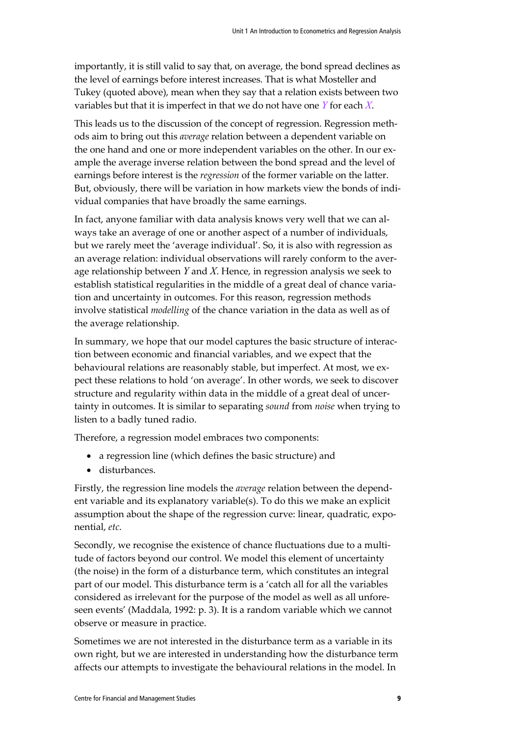importantly, it is still valid to say that, on average, the bond spread declines as the level of earnings before interest increases. That is what Mosteller and Tukey (quoted above), mean when they say that a relation exists between two variables but that it is imperfect in that we do not have one *Y* for each *X*.

This leads us to the discussion of the concept of regression. Regression methods aim to bring out this *average* relation between a dependent variable on the one hand and one or more independent variables on the other. In our example the average inverse relation between the bond spread and the level of earnings before interest is the *regression* of the former variable on the latter. But, obviously, there will be variation in how markets view the bonds of individual companies that have broadly the same earnings.

In fact, anyone familiar with data analysis knows very well that we can always take an average of one or another aspect of a number of individuals, but we rarely meet the 'average individual'. So, it is also with regression as an average relation: individual observations will rarely conform to the average relationship between *Y* and *X*. Hence, in regression analysis we seek to establish statistical regularities in the middle of a great deal of chance variation and uncertainty in outcomes. For this reason, regression methods involve statistical *modelling* of the chance variation in the data as well as of the average relationship.

In summary, we hope that our model captures the basic structure of interaction between economic and financial variables, and we expect that the behavioural relations are reasonably stable, but imperfect. At most, we expect these relations to hold 'on average'. In other words, we seek to discover structure and regularity within data in the middle of a great deal of uncertainty in outcomes. It is similar to separating *sound* from *noise* when trying to listen to a badly tuned radio.

Therefore, a regression model embraces two components:

- a regression line (which defines the basic structure) and
- disturbances.

Firstly, the regression line models the *average* relation between the dependent variable and its explanatory variable(s). To do this we make an explicit assumption about the shape of the regression curve: linear, quadratic, exponential, *etc*.

Secondly, we recognise the existence of chance fluctuations due to a multitude of factors beyond our control. We model this element of uncertainty (the noise) in the form of a disturbance term, which constitutes an integral part of our model. This disturbance term is a 'catch all for all the variables considered as irrelevant for the purpose of the model as well as all unforeseen events' (Maddala, 1992: p. 3). It is a random variable which we cannot observe or measure in practice.

Sometimes we are not interested in the disturbance term as a variable in its own right, but we are interested in understanding how the disturbance term affects our attempts to investigate the behavioural relations in the model. In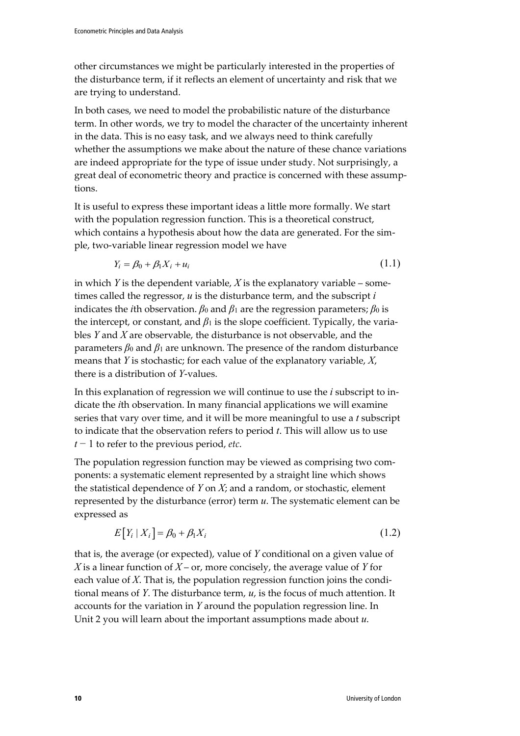other circumstances we might be particularly interested in the properties of the disturbance term, if it reflects an element of uncertainty and risk that we are trying to understand.

In both cases, we need to model the probabilistic nature of the disturbance term. In other words, we try to model the character of the uncertainty inherent in the data. This is no easy task, and we always need to think carefully whether the assumptions we make about the nature of these chance variations are indeed appropriate for the type of issue under study. Not surprisingly, a great deal of econometric theory and practice is concerned with these assumptions.

It is useful to express these important ideas a little more formally. We start with the population regression function. This is a theoretical construct, which contains a hypothesis about how the data are generated. For the simple, two-variable linear regression model we have

$$
Y_i = \beta_0 + \beta_1 X_i + u_i \tag{1.1}
$$

in which *Y* is the dependent variable, *X* is the explanatory variable – sometimes called the regressor, *u* is the disturbance term, and the subscript *i*  indicates the *i*th observation.  $β$ <sup>0</sup> and  $β$ <sup>1</sup> are the regression parameters;  $β$ <sup>0</sup> is the intercept, or constant, and  $\beta_1$  is the slope coefficient. Typically, the variables *Y* and *X* are observable, the disturbance is not observable, and the parameters  $β_0$  and  $β_1$  are unknown. The presence of the random disturbance means that *Y* is stochastic; for each value of the explanatory variable, *X*, there is a distribution of *Y*-values.

In this explanation of regression we will continue to use the *i* subscript to indicate the *i*th observation. In many financial applications we will examine series that vary over time, and it will be more meaningful to use a *t* subscript to indicate that the observation refers to period *t*. This will allow us to use *t* − 1 to refer to the previous period, *etc*.

The population regression function may be viewed as comprising two components: a systematic element represented by a straight line which shows the statistical dependence of *Y* on *X*; and a random, or stochastic, element represented by the disturbance (error) term *u*. The systematic element can be expressed as

$$
E[Y_i | X_i] = \beta_0 + \beta_1 X_i \tag{1.2}
$$

that is, the average (or expected), value of *Y* conditional on a given value of *X* is a linear function of *X* – or, more concisely, the average value of *Y* for each value of *X*. That is, the population regression function joins the conditional means of *Y*. The disturbance term, *u*, is the focus of much attention. It accounts for the variation in *Y* around the population regression line. In Unit 2 you will learn about the important assumptions made about *u*.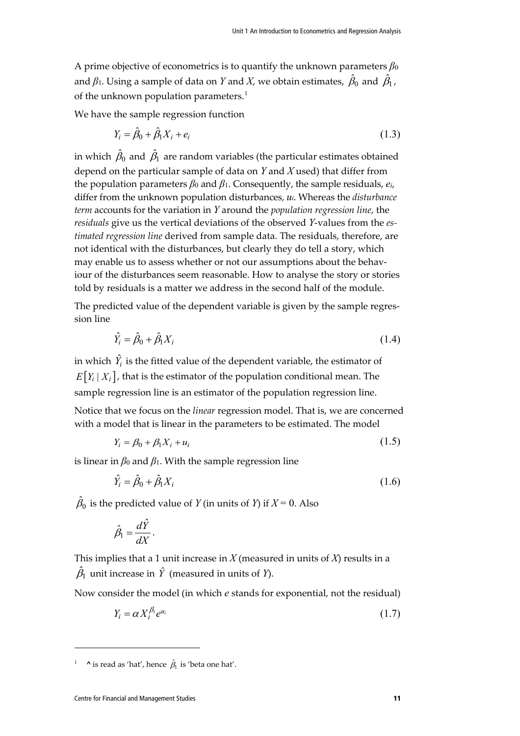A prime objective of econometrics is to quantify the unknown parameters  $\beta_0$ and  $\beta$ 1. Using a sample of data on  $Y$  and  $X$ , we obtain estimates,  $\,\hat{\beta}_0\,$  and  $\,\hat{\beta}_1$  , of the unknown population parameters.<sup>[1](#page-10-0)</sup>

We have the sample regression function

$$
Y_i = \hat{\beta}_0 + \hat{\beta}_1 X_i + e_i \tag{1.3}
$$

in which  $\,\hat\beta_0$  and  $\,\hat\beta_1$  are random variables (the particular estimates obtained depend on the particular sample of data on *Y* and *X* used) that differ from the population parameters *β*<sup>0</sup> and *β*1. Consequently, the sample residuals, *ei*, differ from the unknown population disturbances, *ui*. Whereas the *disturbance term* accounts for the variation in *Y* around the *population regression line*, the *residuals* give us the vertical deviations of the observed *Y*-values from the *estimated regression line* derived from sample data. The residuals, therefore, are not identical with the disturbances, but clearly they do tell a story, which may enable us to assess whether or not our assumptions about the behaviour of the disturbances seem reasonable. How to analyse the story or stories told by residuals is a matter we address in the second half of the module.

The predicted value of the dependent variable is given by the sample regression line

$$
\hat{Y}_i = \hat{\beta}_0 + \hat{\beta}_1 X_i \tag{1.4}
$$

in which  $\hat{Y}_i$  is the fitted value of the dependent variable, the estimator of  $E[Y_i | X_i]$ , that is the estimator of the population conditional mean. The sample regression line is an estimator of the population regression line.

Notice that we focus on the *linear* regression model. That is, we are concerned with a model that is linear in the parameters to be estimated. The model

$$
Y_i = \beta_0 + \beta_1 X_i + u_i \tag{1.5}
$$

is linear in  $\beta_0$  and  $\beta_1$ . With the sample regression line

$$
\hat{Y}_i = \hat{\beta}_0 + \hat{\beta}_1 X_i \tag{1.6}
$$

 $\hat{\beta}_0$  is the predicted value of  $Y$  (in units of  $Y$ ) if  $X\!=\!0$ . Also

$$
\hat{\beta}_1 = \frac{d\hat{Y}}{dX}.
$$

This implies that a 1 unit increase in  $X$  (measured in units of  $X$ ) results in a  $\hat{\beta}_{\mathrm{l}}$  unit increase in  $\hat{Y}$  (measured in units of *Y*).

Now consider the model (in which *e* stands for exponential, not the residual)

$$
Y_i = \alpha X_i^{\beta_1} e^{u_i} \tag{1.7}
$$

<span id="page-10-0"></span><sup>&</sup>lt;sup>1</sup> **^** is read as 'hat', hence  $\hat{\beta}_1$  is 'beta one hat'.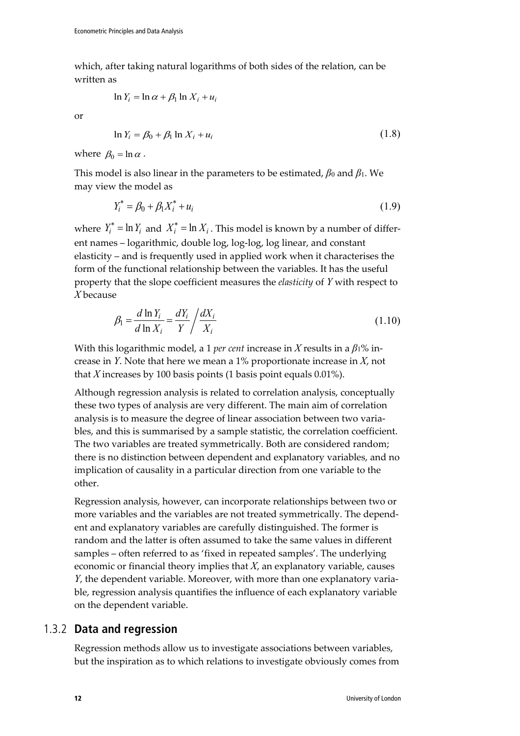which, after taking natural logarithms of both sides of the relation, can be written as

$$
\ln Y_i = \ln \alpha + \beta_1 \ln X_i + u_i
$$

or

$$
\ln Y_i = \beta_0 + \beta_1 \ln X_i + u_i \tag{1.8}
$$

where  $\beta_0 = \ln \alpha$ .

This model is also linear in the parameters to be estimated,  $\beta_0$  and  $\beta_1$ . We may view the model as

$$
Y_i^* = \beta_0 + \beta_1 X_i^* + u_i \tag{1.9}
$$

where  $Y_i^* = \ln Y_i$  and  $X_i^* = \ln X_i$ . This model is known by a number of different names – logarithmic, double log, log-log, log linear, and constant elasticity – and is frequently used in applied work when it characterises the form of the functional relationship between the variables. It has the useful property that the slope coefficient measures the *elasticity* of *Y* with respect to *X* because

$$
\beta_1 = \frac{d \ln Y_i}{d \ln X_i} = \frac{dY_i}{Y} / \frac{dX_i}{X_i}
$$
\n(1.10)

With this logarithmic model, a 1 *per cent* increase in *X* results in a *β*1% increase in *Y*. Note that here we mean a 1% proportionate increase in *X*, not that *X* increases by 100 basis points (1 basis point equals 0.01%).

Although regression analysis is related to correlation analysis, conceptually these two types of analysis are very different. The main aim of correlation analysis is to measure the degree of linear association between two variables, and this is summarised by a sample statistic, the correlation coefficient. The two variables are treated symmetrically. Both are considered random; there is no distinction between dependent and explanatory variables, and no implication of causality in a particular direction from one variable to the other.

Regression analysis, however, can incorporate relationships between two or more variables and the variables are not treated symmetrically. The dependent and explanatory variables are carefully distinguished. The former is random and the latter is often assumed to take the same values in different samples – often referred to as 'fixed in repeated samples'. The underlying economic or financial theory implies that *X*, an explanatory variable, causes *Y*, the dependent variable. Moreover, with more than one explanatory variable, regression analysis quantifies the influence of each explanatory variable on the dependent variable.

### 1.3.2 **Data and regression**

Regression methods allow us to investigate associations between variables, but the inspiration as to which relations to investigate obviously comes from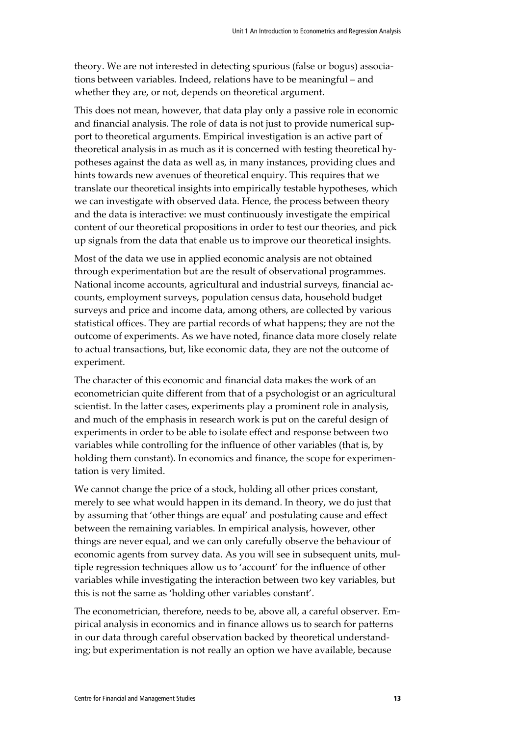theory. We are not interested in detecting spurious (false or bogus) associations between variables. Indeed, relations have to be meaningful – and whether they are, or not, depends on theoretical argument.

This does not mean, however, that data play only a passive role in economic and financial analysis. The role of data is not just to provide numerical support to theoretical arguments. Empirical investigation is an active part of theoretical analysis in as much as it is concerned with testing theoretical hypotheses against the data as well as, in many instances, providing clues and hints towards new avenues of theoretical enquiry. This requires that we translate our theoretical insights into empirically testable hypotheses, which we can investigate with observed data. Hence, the process between theory and the data is interactive: we must continuously investigate the empirical content of our theoretical propositions in order to test our theories, and pick up signals from the data that enable us to improve our theoretical insights.

Most of the data we use in applied economic analysis are not obtained through experimentation but are the result of observational programmes. National income accounts, agricultural and industrial surveys, financial accounts, employment surveys, population census data, household budget surveys and price and income data, among others, are collected by various statistical offices. They are partial records of what happens; they are not the outcome of experiments. As we have noted, finance data more closely relate to actual transactions, but, like economic data, they are not the outcome of experiment.

The character of this economic and financial data makes the work of an econometrician quite different from that of a psychologist or an agricultural scientist. In the latter cases, experiments play a prominent role in analysis, and much of the emphasis in research work is put on the careful design of experiments in order to be able to isolate effect and response between two variables while controlling for the influence of other variables (that is, by holding them constant). In economics and finance, the scope for experimentation is very limited.

We cannot change the price of a stock, holding all other prices constant, merely to see what would happen in its demand. In theory, we do just that by assuming that 'other things are equal' and postulating cause and effect between the remaining variables. In empirical analysis, however, other things are never equal, and we can only carefully observe the behaviour of economic agents from survey data. As you will see in subsequent units, multiple regression techniques allow us to 'account' for the influence of other variables while investigating the interaction between two key variables, but this is not the same as 'holding other variables constant'.

The econometrician, therefore, needs to be, above all, a careful observer. Empirical analysis in economics and in finance allows us to search for patterns in our data through careful observation backed by theoretical understanding; but experimentation is not really an option we have available, because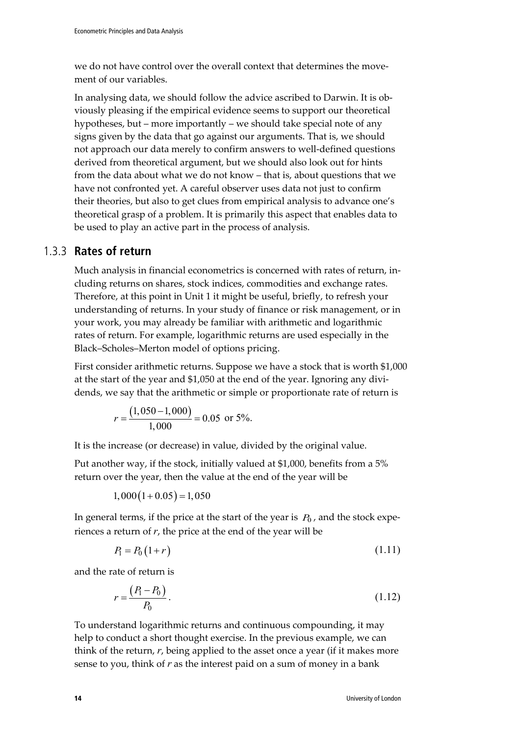we do not have control over the overall context that determines the movement of our variables.

In analysing data, we should follow the advice ascribed to Darwin. It is obviously pleasing if the empirical evidence seems to support our theoretical hypotheses, but – more importantly – we should take special note of any signs given by the data that go against our arguments. That is, we should not approach our data merely to confirm answers to well-defined questions derived from theoretical argument, but we should also look out for hints from the data about what we do not know – that is, about questions that we have not confronted yet. A careful observer uses data not just to confirm their theories, but also to get clues from empirical analysis to advance one's theoretical grasp of a problem. It is primarily this aspect that enables data to be used to play an active part in the process of analysis.

### 1.3.3 **Rates of return**

Much analysis in financial econometrics is concerned with rates of return, including returns on shares, stock indices, commodities and exchange rates. Therefore, at this point in Unit 1 it might be useful, briefly, to refresh your understanding of returns. In your study of finance or risk management, or in your work, you may already be familiar with arithmetic and logarithmic rates of return. For example, logarithmic returns are used especially in the Black–Scholes–Merton model of options pricing.

First consider arithmetic returns. Suppose we have a stock that is worth \$1,000 at the start of the year and \$1,050 at the end of the year. Ignoring any dividends, we say that the arithmetic or simple or proportionate rate of return is

$$
r = \frac{(1,050 - 1,000)}{1,000} = 0.05
$$
 or 5%.

It is the increase (or decrease) in value, divided by the original value.

Put another way, if the stock, initially valued at \$1,000, benefits from a 5% return over the year, then the value at the end of the year will be

 $1,000(1+0.05) = 1,050$ 

In general terms, if the price at the start of the year is  $P_0$ , and the stock experiences a return of *r*, the price at the end of the year will be

$$
P_1 = P_0 (1+r)
$$
\n(1.11)

and the rate of return is

$$
r = \frac{(P_1 - P_0)}{P_0}.
$$
\n(1.12)

To understand logarithmic returns and continuous compounding, it may help to conduct a short thought exercise. In the previous example, we can think of the return, *r*, being applied to the asset once a year (if it makes more sense to you, think of *r* as the interest paid on a sum of money in a bank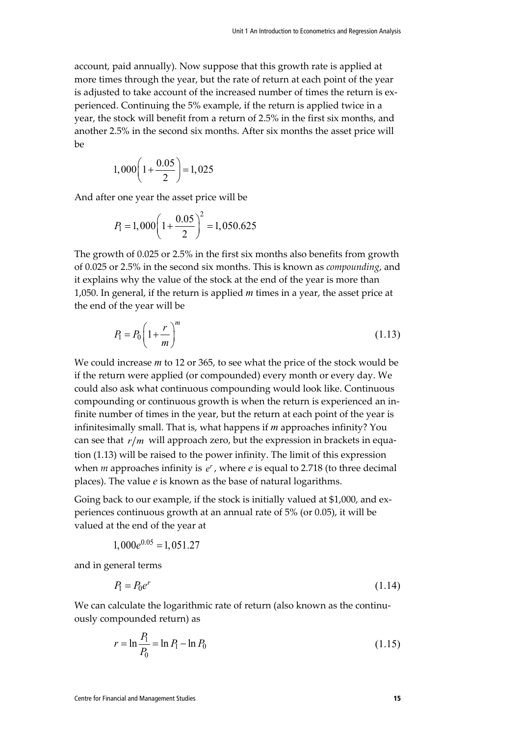account, paid annually). Now suppose that this growth rate is applied at more times through the year, but the rate of return at each point of the year is adjusted to take account of the increased number of times the return is experienced. Continuing the 5% example, if the return is applied twice in a year, the stock will benefit from a return of 2.5% in the first six months, and another 2.5% in the second six months. After six months the asset price will  $he$ 

$$
1,000\left(1+\frac{0.05}{2}\right) = 1,025
$$

And after one year the asset price will be

$$
P_1 = 1,000 \left( 1 + \frac{0.05}{2} \right)^2 = 1,050.625
$$

The growth of 0.025 or 2.5% in the first six months also benefits from growth of 0.025 or 2.5% in the second six months. This is known as *compounding*, and it explains why the value of the stock at the end of the year is more than 1,050. In general, if the return is applied *m* times in a year, the asset price at the end of the year will be

$$
P_1 = P_0 \left( 1 + \frac{r}{m} \right)^m \tag{1.13}
$$

We could increase *m* to 12 or 365, to see what the price of the stock would be if the return were applied (or compounded) every month or every day. We could also ask what continuous compounding would look like. Continuous compounding or continuous growth is when the return is experienced an infinite number of times in the year, but the return at each point of the year is infinitesimally small. That is, what happens if *m* approaches infinity? You can see that  $r/m$  will approach zero, but the expression in brackets in equation (1.13) will be raised to the power infinity. The limit of this expression when  $m$  approaches infinity is  $e^r$ , where  $e$  is equal to 2.718 (to three decimal places). The value *e* is known as the base of natural logarithms.

Going back to our example, if the stock is initially valued at \$1,000, and experiences continuous growth at an annual rate of 5% (or 0.05), it will be valued at the end of the year at

$$
1,000e^{0.05} = 1,051.27
$$

and in general terms

$$
P_1 = P_0 e^r \tag{1.14}
$$

We can calculate the logarithmic rate of return (also known as the continuously compounded return) as

$$
r = \ln \frac{P_1}{P_0} = \ln P_1 - \ln P_0 \tag{1.15}
$$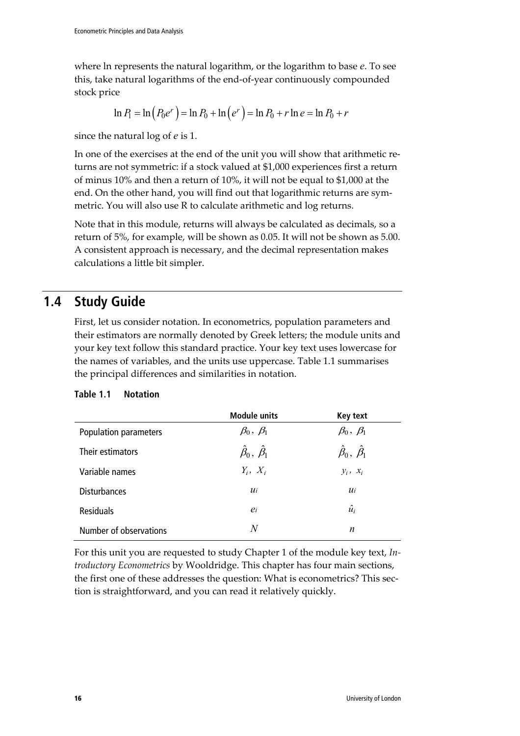where ln represents the natural logarithm, or the logarithm to base *e*. To see this, take natural logarithms of the end-of-year continuously compounded stock price

$$
\ln P_1 = \ln (P_0 e^r) = \ln P_0 + \ln (e^r) = \ln P_0 + r \ln e = \ln P_0 + r
$$

since the natural log of *e* is 1.

In one of the exercises at the end of the unit you will show that arithmetic returns are not symmetric: if a stock valued at \$1,000 experiences first a return of minus 10% and then a return of 10%, it will not be equal to \$1,000 at the end. On the other hand, you will find out that logarithmic returns are symmetric. You will also use R to calculate arithmetic and log returns.

Note that in this module, returns will always be calculated as decimals, so a return of 5%, for example, will be shown as 0.05. It will not be shown as 5.00. A consistent approach is necessary, and the decimal representation makes calculations a little bit simpler.

# **1.4 Study Guide**

First, let us consider notation. In econometrics, population parameters and their estimators are normally denoted by Greek letters; the module units and your key text follow this standard practice. Your key text uses lowercase for the names of variables, and the units use uppercase. Table 1.1 summarises the principal differences and similarities in notation.

|                        | <b>Module units</b>            | <b>Key text</b>                |
|------------------------|--------------------------------|--------------------------------|
| Population parameters  | $\beta_0, \beta_1$             | $\beta_0, \beta_1$             |
| Their estimators       | $\hat{\beta}_0, \hat{\beta}_1$ | $\hat{\beta}_0, \hat{\beta}_1$ |
| Variable names         | $Y_i, X_i$                     | $y_i$ , $x_i$                  |
| <b>Disturbances</b>    | $u_i$                          | $u_i$                          |
| <b>Residuals</b>       | $e_i$                          | $\hat{u_i}$                    |
| Number of observations | N                              | n                              |

### **Table 1.1 Notation**

For this unit you are requested to study Chapter 1 of the module key text, *Introductory Econometrics* by Wooldridge. This chapter has four main sections, the first one of these addresses the question: What is econometrics? This section is straightforward, and you can read it relatively quickly.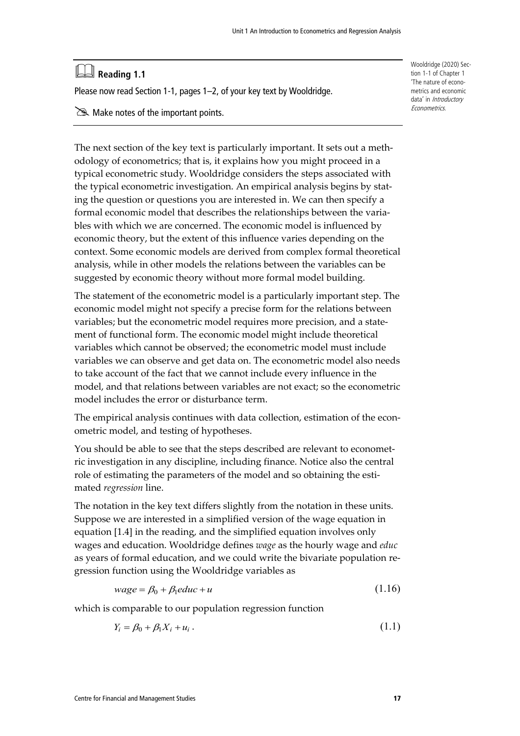# **Reading 1.1**

Please now read Section 1-1, pages 1–2, of your key text by Wooldridge.

 $\gg$  Make notes of the important points.

The next section of the key text is particularly important. It sets out a methodology of econometrics; that is, it explains how you might proceed in a typical econometric study. Wooldridge considers the steps associated with the typical econometric investigation. An empirical analysis begins by stating the question or questions you are interested in. We can then specify a formal economic model that describes the relationships between the variables with which we are concerned. The economic model is influenced by economic theory, but the extent of this influence varies depending on the context. Some economic models are derived from complex formal theoretical analysis, while in other models the relations between the variables can be suggested by economic theory without more formal model building.

The statement of the econometric model is a particularly important step. The economic model might not specify a precise form for the relations between variables; but the econometric model requires more precision, and a statement of functional form. The economic model might include theoretical variables which cannot be observed; the econometric model must include variables we can observe and get data on. The econometric model also needs to take account of the fact that we cannot include every influence in the model, and that relations between variables are not exact; so the econometric model includes the error or disturbance term.

The empirical analysis continues with data collection, estimation of the econometric model, and testing of hypotheses.

You should be able to see that the steps described are relevant to econometric investigation in any discipline, including finance. Notice also the central role of estimating the parameters of the model and so obtaining the estimated *regression* line.

The notation in the key text differs slightly from the notation in these units. Suppose we are interested in a simplified version of the wage equation in equation [1.4] in the reading, and the simplified equation involves only wages and education. Wooldridge defines *wage* as the hourly wage and *educ* as years of formal education, and we could write the bivariate population regression function using the Wooldridge variables as

$$
wage = \beta_0 + \beta_1 educ + u \tag{1.16}
$$

which is comparable to our population regression function

$$
Y_i = \beta_0 + \beta_1 X_i + u_i \,. \tag{1.1}
$$

Wooldridge (2020) Section 1-1 of Chapter 1 'The nature of econometrics and economic data' in Introductory Econometrics.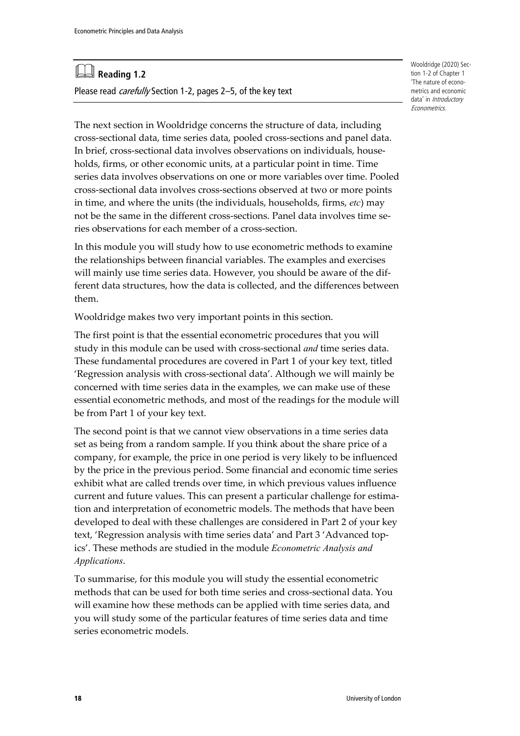# **Reading 1.2**

Please read *carefully* Section 1-2, pages 2-5, of the key text

The next section in Wooldridge concerns the structure of data, including cross-sectional data, time series data, pooled cross-sections and panel data. In brief, cross-sectional data involves observations on individuals, households, firms, or other economic units, at a particular point in time. Time series data involves observations on one or more variables over time. Pooled cross-sectional data involves cross-sections observed at two or more points in time, and where the units (the individuals, households, firms, *etc*) may not be the same in the different cross-sections. Panel data involves time series observations for each member of a cross-section.

In this module you will study how to use econometric methods to examine the relationships between financial variables. The examples and exercises will mainly use time series data. However, you should be aware of the different data structures, how the data is collected, and the differences between them.

Wooldridge makes two very important points in this section.

The first point is that the essential econometric procedures that you will study in this module can be used with cross-sectional *and* time series data. These fundamental procedures are covered in Part 1 of your key text, titled 'Regression analysis with cross-sectional data'. Although we will mainly be concerned with time series data in the examples, we can make use of these essential econometric methods, and most of the readings for the module will be from Part 1 of your key text.

The second point is that we cannot view observations in a time series data set as being from a random sample. If you think about the share price of a company, for example, the price in one period is very likely to be influenced by the price in the previous period. Some financial and economic time series exhibit what are called trends over time, in which previous values influence current and future values. This can present a particular challenge for estimation and interpretation of econometric models. The methods that have been developed to deal with these challenges are considered in Part 2 of your key text, 'Regression analysis with time series data' and Part 3 'Advanced topics'. These methods are studied in the module *Econometric Analysis and Applications*.

To summarise, for this module you will study the essential econometric methods that can be used for both time series and cross-sectional data. You will examine how these methods can be applied with time series data, and you will study some of the particular features of time series data and time series econometric models.

Wooldridge (2020) Section 1-2 of Chapter 1 'The nature of econometrics and economic data' in Introductory Econometrics.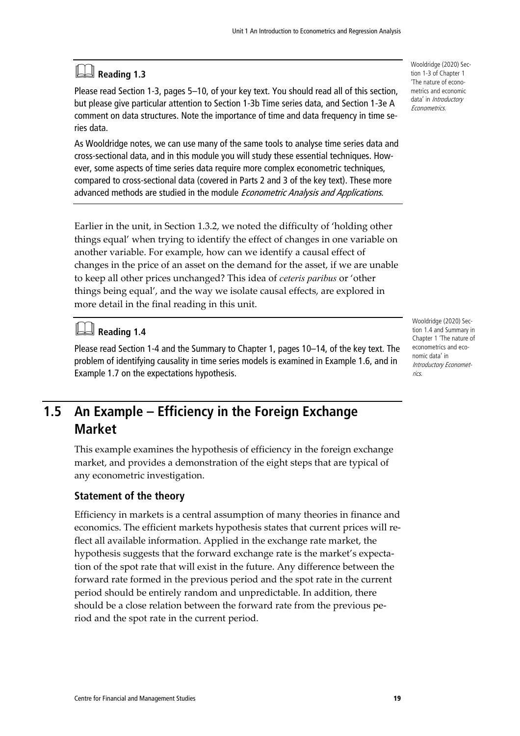# **Reading 1.3**

Please read Section 1-3, pages 5–10, of your key text. You should read all of this section, but please give particular attention to Section 1-3b Time series data, and Section 1-3e A comment on data structures. Note the importance of time and data frequency in time series data.

As Wooldridge notes, we can use many of the same tools to analyse time series data and cross-sectional data, and in this module you will study these essential techniques. However, some aspects of time series data require more complex econometric techniques, compared to cross-sectional data (covered in Parts 2 and 3 of the key text). These more advanced methods are studied in the module *Econometric Analysis and Applications*.

Earlier in the unit, in Section 1.3.2, we noted the difficulty of 'holding other things equal' when trying to identify the effect of changes in one variable on another variable. For example, how can we identify a causal effect of changes in the price of an asset on the demand for the asset, if we are unable to keep all other prices unchanged? This idea of *ceteris paribus* or 'other things being equal', and the way we isolate causal effects, are explored in more detail in the final reading in this unit.

# **Reading 1.4**

Please read Section 1-4 and the Summary to Chapter 1, pages 10–14, of the key text. The problem of identifying causality in time series models is examined in Example 1.6, and in Example 1.7 on the expectations hypothesis.

## **1.5 An Example – Efficiency in the Foreign Exchange Market**

This example examines the hypothesis of efficiency in the foreign exchange market, and provides a demonstration of the eight steps that are typical of any econometric investigation.

### **Statement of the theory**

Efficiency in markets is a central assumption of many theories in finance and economics. The efficient markets hypothesis states that current prices will reflect all available information. Applied in the exchange rate market, the hypothesis suggests that the forward exchange rate is the market's expectation of the spot rate that will exist in the future. Any difference between the forward rate formed in the previous period and the spot rate in the current period should be entirely random and unpredictable. In addition, there should be a close relation between the forward rate from the previous period and the spot rate in the current period.

Wooldridge (2020) Section 1-3 of Chapter 1 'The nature of econometrics and economic data' in Introductory Econometrics.

Wooldridge (2020) Section 1.4 and Summary in Chapter 1 'The nature of econometrics and economic data' in Introductory Econometrics.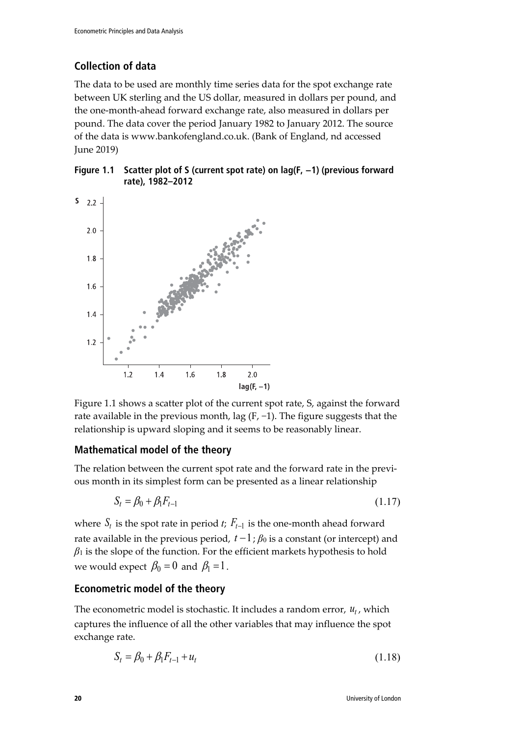### **Collection of data**

The data to be used are monthly time series data for the spot exchange rate between UK sterling and the US dollar, measured in dollars per pound, and the one-month-ahead forward exchange rate, also measured in dollars per pound. The data cover the period January 1982 to January 2012. The source of the data is www.bankofengland.co.uk. (Bank of England, nd accessed June 2019)

**Figure 1.1 Scatter plot of S (current spot rate) on lag(F, −1) (previous forward rate), 1982–2012**



Figure 1.1 shows a scatter plot of the current spot rate, S, against the forward rate available in the previous month, lag (F, −1). The figure suggests that the relationship is upward sloping and it seems to be reasonably linear.

### **Mathematical model of the theory**

The relation between the current spot rate and the forward rate in the previous month in its simplest form can be presented as a linear relationship

$$
S_t = \beta_0 + \beta_1 F_{t-1} \tag{1.17}
$$

where  $S_t$  is the spot rate in period *t*;  $F_{t-1}$  is the one-month ahead forward rate available in the previous period,  $t-1$ ;  $\beta_0$  is a constant (or intercept) and  $\beta_1$  is the slope of the function. For the efficient markets hypothesis to hold we would expect  $\beta_0 = 0$  and  $\beta_1 = 1$ .

### **Econometric model of the theory**

The econometric model is stochastic. It includes a random error,  $u_t$ , which captures the influence of all the other variables that may influence the spot exchange rate.

$$
S_t = \beta_0 + \beta_1 F_{t-1} + u_t \tag{1.18}
$$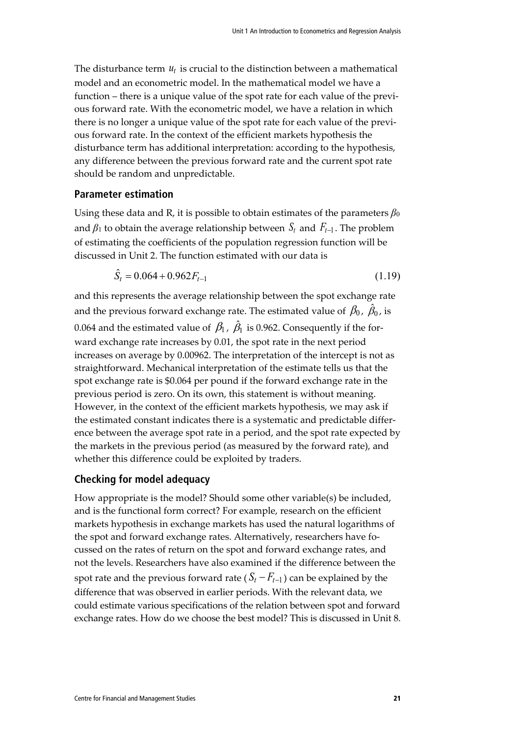The disturbance term  $u_t$  is crucial to the distinction between a mathematical model and an econometric model. In the mathematical model we have a function – there is a unique value of the spot rate for each value of the previous forward rate. With the econometric model, we have a relation in which there is no longer a unique value of the spot rate for each value of the previous forward rate. In the context of the efficient markets hypothesis the disturbance term has additional interpretation: according to the hypothesis, any difference between the previous forward rate and the current spot rate should be random and unpredictable.

#### **Parameter estimation**

Using these data and R, it is possible to obtain estimates of the parameters  $\beta_0$ and  $\beta_1$  to obtain the average relationship between  $S_t$  and  $F_{t-1}$ . The problem of estimating the coefficients of the population regression function will be discussed in Unit 2. The function estimated with our data is

$$
\hat{S}_t = 0.064 + 0.962F_{t-1} \tag{1.19}
$$

and this represents the average relationship between the spot exchange rate and the previous forward exchange rate. The estimated value of  $\,\beta_0^{}$  ,  $\,\hat{\beta}_0^{}$  , is 0.064 and the estimated value of  $\,\beta_{\rm l}$  ,  $\,\hat{\beta}_{\rm l}$  is 0.962. Consequently if the forward exchange rate increases by 0.01, the spot rate in the next period increases on average by 0.00962. The interpretation of the intercept is not as straightforward. Mechanical interpretation of the estimate tells us that the spot exchange rate is \$0.064 per pound if the forward exchange rate in the previous period is zero. On its own, this statement is without meaning. However, in the context of the efficient markets hypothesis, we may ask if the estimated constant indicates there is a systematic and predictable difference between the average spot rate in a period, and the spot rate expected by the markets in the previous period (as measured by the forward rate), and whether this difference could be exploited by traders.

### **Checking for model adequacy**

How appropriate is the model? Should some other variable(s) be included, and is the functional form correct? For example, research on the efficient markets hypothesis in exchange markets has used the natural logarithms of the spot and forward exchange rates. Alternatively, researchers have focussed on the rates of return on the spot and forward exchange rates, and not the levels. Researchers have also examined if the difference between the spot rate and the previous forward rate ( $S_t - F_{t-1}$ ) can be explained by the difference that was observed in earlier periods. With the relevant data, we could estimate various specifications of the relation between spot and forward exchange rates. How do we choose the best model? This is discussed in Unit 8.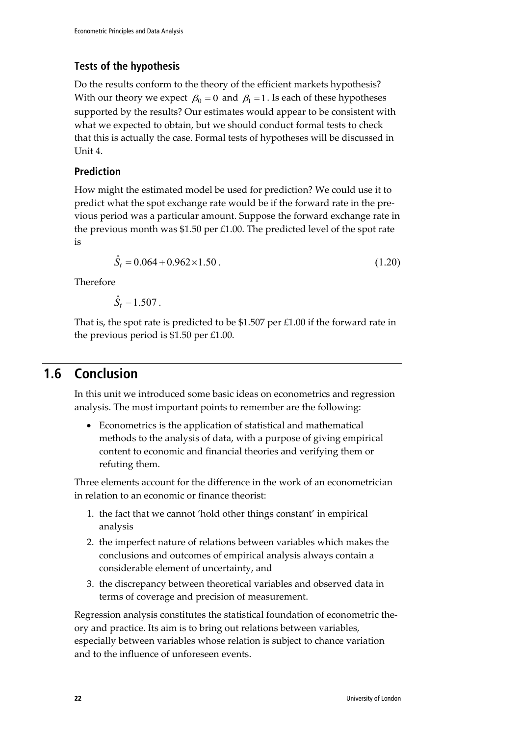### **Tests of the hypothesis**

Do the results conform to the theory of the efficient markets hypothesis? With our theory we expect  $\beta_0 = 0$  and  $\beta_1 = 1$ . Is each of these hypotheses supported by the results? Our estimates would appear to be consistent with what we expected to obtain, but we should conduct formal tests to check that this is actually the case. Formal tests of hypotheses will be discussed in Unit 4.

### **Prediction**

How might the estimated model be used for prediction? We could use it to predict what the spot exchange rate would be if the forward rate in the previous period was a particular amount. Suppose the forward exchange rate in the previous month was \$1.50 per £1.00. The predicted level of the spot rate is

$$
\hat{S}_t = 0.064 + 0.962 \times 1.50 \,. \tag{1.20}
$$

Therefore

 $\hat{S}_t = 1.507$ .

That is, the spot rate is predicted to be \$1.507 per £1.00 if the forward rate in the previous period is \$1.50 per £1.00.

### **1.6 Conclusion**

In this unit we introduced some basic ideas on econometrics and regression analysis. The most important points to remember are the following:

• Econometrics is the application of statistical and mathematical methods to the analysis of data, with a purpose of giving empirical content to economic and financial theories and verifying them or refuting them.

Three elements account for the difference in the work of an econometrician in relation to an economic or finance theorist:

- 1. the fact that we cannot 'hold other things constant' in empirical analysis
- 2. the imperfect nature of relations between variables which makes the conclusions and outcomes of empirical analysis always contain a considerable element of uncertainty, and
- 3. the discrepancy between theoretical variables and observed data in terms of coverage and precision of measurement.

Regression analysis constitutes the statistical foundation of econometric theory and practice. Its aim is to bring out relations between variables, especially between variables whose relation is subject to chance variation and to the influence of unforeseen events.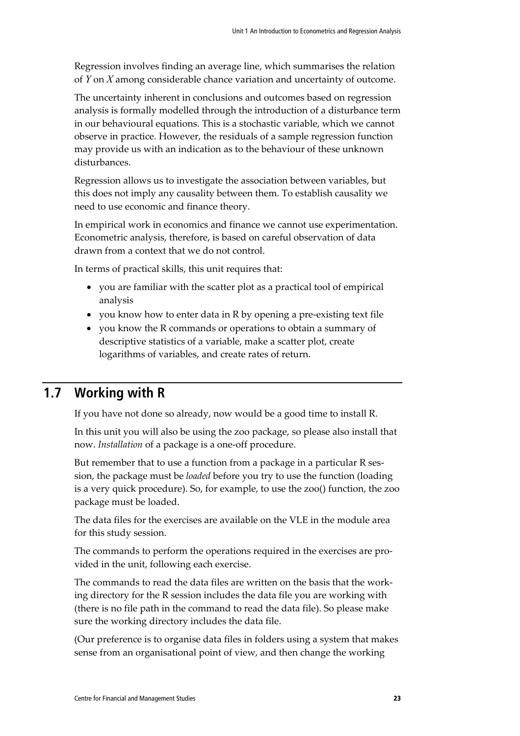Regression involves finding an average line, which summarises the relation of *Y* on *X* among considerable chance variation and uncertainty of outcome.

The uncertainty inherent in conclusions and outcomes based on regression analysis is formally modelled through the introduction of a disturbance term in our behavioural equations. This is a stochastic variable, which we cannot observe in practice. However, the residuals of a sample regression function may provide us with an indication as to the behaviour of these unknown disturbances.

Regression allows us to investigate the association between variables, but this does not imply any causality between them. To establish causality we need to use economic and finance theory.

In empirical work in economics and finance we cannot use experimentation. Econometric analysis, therefore, is based on careful observation of data drawn from a context that we do not control.

In terms of practical skills, this unit requires that:

- you are familiar with the scatter plot as a practical tool of empirical analysis
- you know how to enter data in R by opening a pre-existing text file
- you know the R commands or operations to obtain a summary of descriptive statistics of a variable, make a scatter plot, create logarithms of variables, and create rates of return.

### **1.7 Working with R**

If you have not done so already, now would be a good time to install R.

In this unit you will also be using the zoo package, so please also install that now. *Installation* of a package is a one-off procedure.

But remember that to use a function from a package in a particular R session, the package must be *loaded* before you try to use the function (loading is a very quick procedure). So, for example, to use the zoo() function, the zoo package must be loaded.

The data files for the exercises are available on the VLE in the module area for this study session.

The commands to perform the operations required in the exercises are provided in the unit, following each exercise.

The commands to read the data files are written on the basis that the working directory for the R session includes the data file you are working with (there is no file path in the command to read the data file). So please make sure the working directory includes the data file.

(Our preference is to organise data files in folders using a system that makes sense from an organisational point of view, and then change the working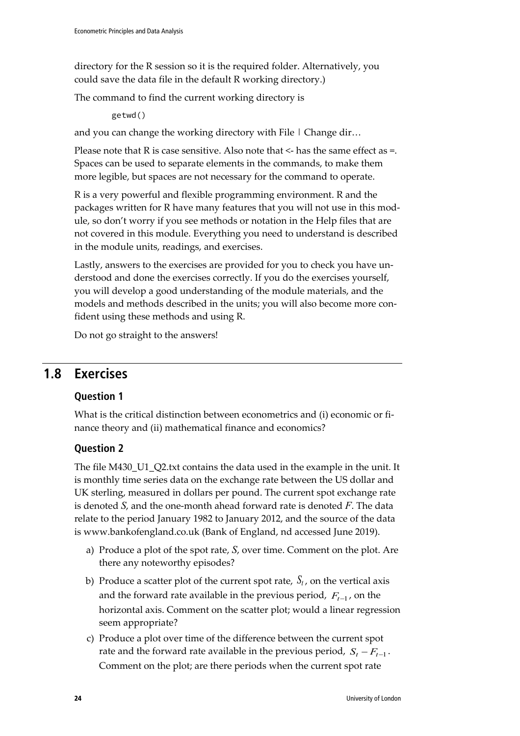directory for the R session so it is the required folder. Alternatively, you could save the data file in the default R working directory.)

The command to find the current working directory is

getwd()

and you can change the working directory with File  $\mid$  Change dir...

Please note that R is case sensitive. Also note that  $\leq$  has the same effect as  $=$ . Spaces can be used to separate elements in the commands, to make them more legible, but spaces are not necessary for the command to operate.

R is a very powerful and flexible programming environment. R and the packages written for R have many features that you will not use in this module, so don't worry if you see methods or notation in the Help files that are not covered in this module. Everything you need to understand is described in the module units, readings, and exercises.

Lastly, answers to the exercises are provided for you to check you have understood and done the exercises correctly. If you do the exercises yourself, you will develop a good understanding of the module materials, and the models and methods described in the units; you will also become more confident using these methods and using R.

Do not go straight to the answers!

### **1.8 Exercises**

### **Question 1**

What is the critical distinction between econometrics and (i) economic or finance theory and (ii) mathematical finance and economics?

### **Question 2**

The file M430 U1 Q2.txt contains the data used in the example in the unit. It is monthly time series data on the exchange rate between the US dollar and UK sterling, measured in dollars per pound. The current spot exchange rate is denoted *S*, and the one-month ahead forward rate is denoted *F*. The data relate to the period January 1982 to January 2012, and the source of the data is www.bankofengland.co.uk (Bank of England, nd accessed June 2019).

- a) Produce a plot of the spot rate, *S*, over time. Comment on the plot. Are there any noteworthy episodes?
- b) Produce a scatter plot of the current spot rate,  $S_t$ , on the vertical axis and the forward rate available in the previous period,  $F_{t-1}$ , on the horizontal axis. Comment on the scatter plot; would a linear regression seem appropriate?
- c) Produce a plot over time of the difference between the current spot rate and the forward rate available in the previous period,  $S_t - F_{t-1}$ . Comment on the plot; are there periods when the current spot rate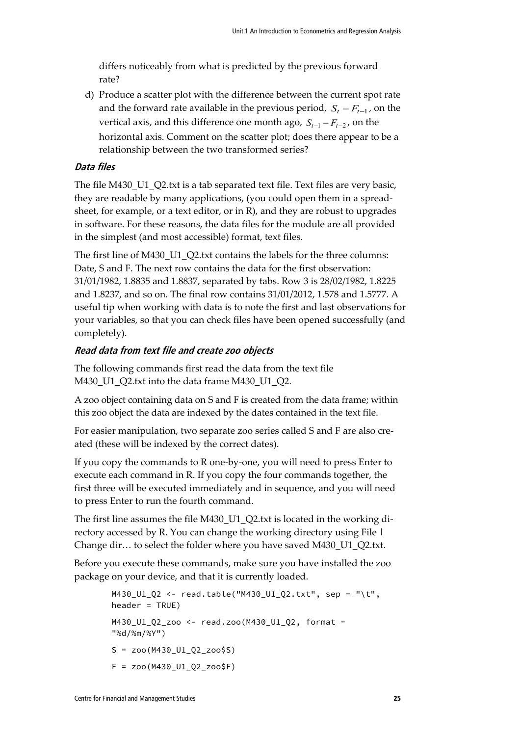differs noticeably from what is predicted by the previous forward rate?

d) Produce a scatter plot with the difference between the current spot rate and the forward rate available in the previous period,  $S_t - F_{t-1}$ , on the vertical axis, and this difference one month ago,  $S_{t-1} - F_{t-2}$ , on the horizontal axis. Comment on the scatter plot; does there appear to be a relationship between the two transformed series?

### **Data files**

The file M430\_U1\_Q2.txt is a tab separated text file. Text files are very basic, they are readable by many applications, (you could open them in a spreadsheet, for example, or a text editor, or in R), and they are robust to upgrades in software. For these reasons, the data files for the module are all provided in the simplest (and most accessible) format, text files.

The first line of M430\_U1\_Q2.txt contains the labels for the three columns: Date, S and F. The next row contains the data for the first observation: 31/01/1982, 1.8835 and 1.8837, separated by tabs. Row 3 is 28/02/1982, 1.8225 and 1.8237, and so on. The final row contains 31/01/2012, 1.578 and 1.5777. A useful tip when working with data is to note the first and last observations for your variables, so that you can check files have been opened successfully (and completely).

### **Read data from text file and create zoo objects**

The following commands first read the data from the text file M430\_U1\_Q2.txt into the data frame M430\_U1\_Q2.

A zoo object containing data on S and F is created from the data frame; within this zoo object the data are indexed by the dates contained in the text file.

For easier manipulation, two separate zoo series called S and F are also created (these will be indexed by the correct dates).

If you copy the commands to R one-by-one, you will need to press Enter to execute each command in R. If you copy the four commands together, the first three will be executed immediately and in sequence, and you will need to press Enter to run the fourth command.

The first line assumes the file M430\_U1\_Q2.txt is located in the working directory accessed by R. You can change the working directory using File | Change dir… to select the folder where you have saved M430\_U1\_Q2.txt.

Before you execute these commands, make sure you have installed the zoo package on your device, and that it is currently loaded.

```
M430_U1_Q2 <- read.table("M430_U1_Q2.txt", sep = "\t", 
header = TRUE)
M430_U1_Q2_zoo <- read.zoo(M430_U1_Q2, format = 
"%d/%m/%Y")
S = zoo(M430_U1_02_200$S)
F = zoo(M430_U1_Q2_zoo$F)
```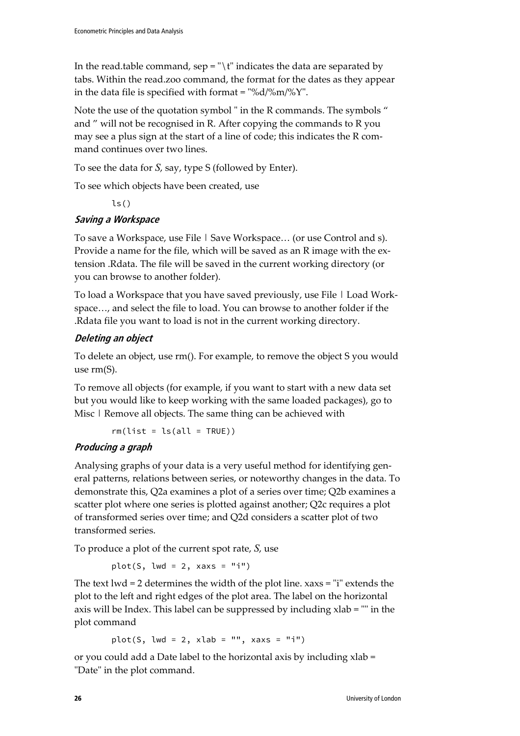In the read.table command, sep = " $\lceil \cdot \rceil$ " indicates the data are separated by tabs. Within the read.zoo command, the format for the dates as they appear in the data file is specified with format = "%d/%m/%Y".

Note the use of the quotation symbol " in the R commands. The symbols " and " will not be recognised in R. After copying the commands to R you may see a plus sign at the start of a line of code; this indicates the R command continues over two lines.

To see the data for *S*, say, type S (followed by Enter).

To see which objects have been created, use

 $ls()$ 

### **Saving a Workspace**

To save a Workspace, use File | Save Workspace... (or use Control and s). Provide a name for the file, which will be saved as an R image with the extension .Rdata. The file will be saved in the current working directory (or you can browse to another folder).

To load a Workspace that you have saved previously, use File | Load Workspace…, and select the file to load. You can browse to another folder if the .Rdata file you want to load is not in the current working directory.

### **Deleting an object**

To delete an object, use rm(). For example, to remove the object S you would use rm(S).

To remove all objects (for example, if you want to start with a new data set but you would like to keep working with the same loaded packages), go to Misc | Remove all objects. The same thing can be achieved with

 $rm(list = ls(all = TRUE))$ 

### **Producing a graph**

Analysing graphs of your data is a very useful method for identifying general patterns, relations between series, or noteworthy changes in the data. To demonstrate this, Q2a examines a plot of a series over time; Q2b examines a scatter plot where one series is plotted against another; Q2c requires a plot of transformed series over time; and Q2d considers a scatter plot of two transformed series.

To produce a plot of the current spot rate, *S*, use

plot(S,  $lwd = 2$ ,  $xaxs = "i")$ 

The text lwd = 2 determines the width of the plot line. xaxs = "i" extends the plot to the left and right edges of the plot area. The label on the horizontal axis will be Index. This label can be suppressed by including xlab = "" in the plot command

plot(S, lwd = 2, xlab = "", xaxs = "i")

or you could add a Date label to the horizontal axis by including xlab = "Date" in the plot command.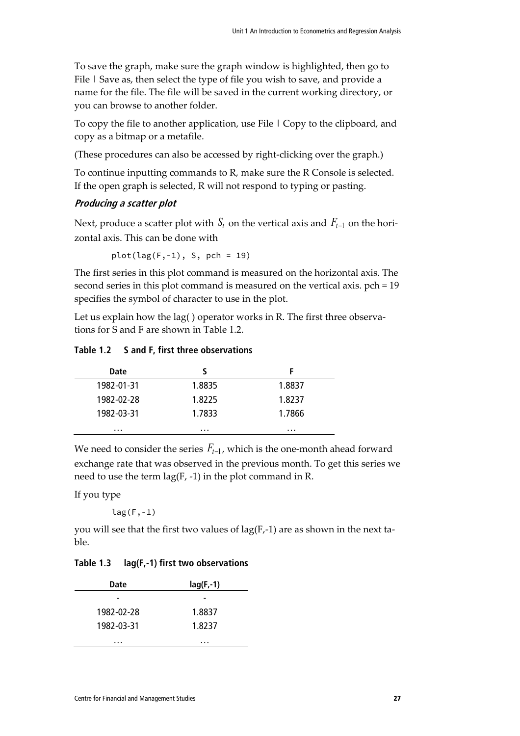To save the graph, make sure the graph window is highlighted, then go to File | Save as, then select the type of file you wish to save, and provide a name for the file. The file will be saved in the current working directory, or you can browse to another folder.

To copy the file to another application, use File | Copy to the clipboard, and copy as a bitmap or a metafile.

(These procedures can also be accessed by right-clicking over the graph.)

To continue inputting commands to R, make sure the R Console is selected. If the open graph is selected, R will not respond to typing or pasting.

#### **Producing a scatter plot**

Next, produce a scatter plot with  $S_t$  on the vertical axis and  $F_{t-1}$  on the horizontal axis. This can be done with

 $plot(lag(F,-1), S, pch = 19)$ 

The first series in this plot command is measured on the horizontal axis. The second series in this plot command is measured on the vertical axis. pch = 19 specifies the symbol of character to use in the plot.

Let us explain how the lag( ) operator works in R. The first three observations for S and F are shown in Table 1.2.

**Table 1.2 S and F, first three observations**

| Date       |        |        |
|------------|--------|--------|
| 1982-01-31 | 1.8835 | 1.8837 |
| 1982-02-28 | 1.8225 | 1.8237 |
| 1982-03-31 | 1.7833 | 1.7866 |
| .          | .      | .      |

We need to consider the series  $F_{t-1}$ , which is the one-month ahead forward exchange rate that was observed in the previous month. To get this series we need to use the term  $lag(F, -1)$  in the plot command in R.

If you type

 $lag(F, -1)$ 

you will see that the first two values of  $lag(F, -1)$  are as shown in the next table.

#### **Table 1.3 lag(F,-1) first two observations**

| Date       | $lag(F, -1)$ |
|------------|--------------|
|            |              |
| 1982-02-28 | 1.8837       |
| 1982-03-31 | 1.8237       |
| .          | .            |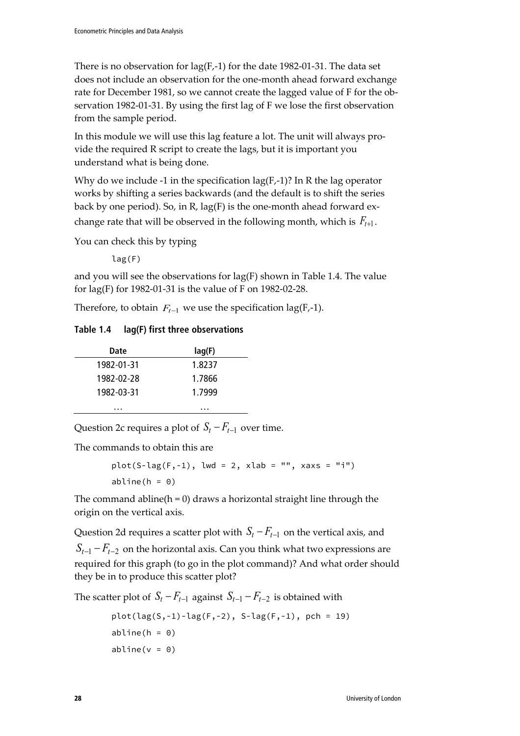There is no observation for  $lag(F, -1)$  for the date 1982-01-31. The data set does not include an observation for the one-month ahead forward exchange rate for December 1981, so we cannot create the lagged value of F for the observation 1982-01-31. By using the first lag of F we lose the first observation from the sample period.

In this module we will use this lag feature a lot. The unit will always provide the required R script to create the lags, but it is important you understand what is being done.

Why do we include -1 in the specification  $lag(F,-1)$ ? In R the lag operator works by shifting a series backwards (and the default is to shift the series back by one period). So, in R, lag(F) is the one-month ahead forward exchange rate that will be observed in the following month, which is  $F_{t+1}$ .

You can check this by typing

lag(F)

and you will see the observations for lag(F) shown in Table 1.4. The value for lag(F) for 1982-01-31 is the value of F on 1982-02-28.

Therefore, to obtain  $F_{t-1}$  we use the specification lag(F,-1).

#### **Table 1.4 lag(F) first three observations**

| Date       | lag(F) |
|------------|--------|
| 1982-01-31 | 1.8237 |
| 1982-02-28 | 1.7866 |
| 1982-03-31 | 1.7999 |
| .          | .      |

Question 2c requires a plot of  $S_t - F_{t-1}$  over time.

The commands to obtain this are

```
plot(S-lag(F, -1), lwd = 2, xlab = "", xaxs = "i")
abline(h = 0)
```
The command abline( $h = 0$ ) draws a horizontal straight line through the origin on the vertical axis.

Question 2d requires a scatter plot with  $S_t - F_{t-1}$  on the vertical axis, and  $S_{t-1} - F_{t-2}$  on the horizontal axis. Can you think what two expressions are required for this graph (to go in the plot command)? And what order should they be in to produce this scatter plot?

The scatter plot of  $S_t - F_{t-1}$  against  $S_{t-1} - F_{t-2}$  is obtained with

$$
plot(lag(S,-1)-lag(F,-2), S-lag(F,-1), pch = 19)
$$
  
\nabline(h = 0)  
\nabline(v = 0)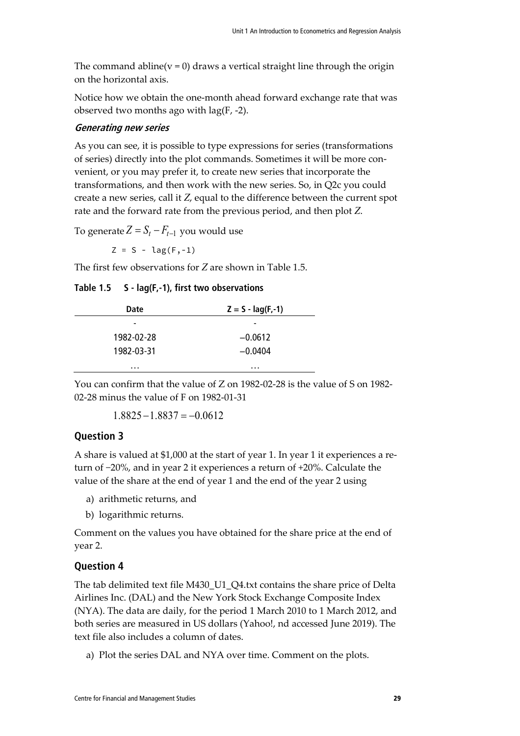The command abline( $v = 0$ ) draws a vertical straight line through the origin on the horizontal axis.

Notice how we obtain the one-month ahead forward exchange rate that was observed two months ago with lag(F, -2).

#### **Generating new series**

As you can see, it is possible to type expressions for series (transformations of series) directly into the plot commands. Sometimes it will be more convenient, or you may prefer it, to create new series that incorporate the transformations, and then work with the new series. So, in Q2c you could create a new series, call it *Z*, equal to the difference between the current spot rate and the forward rate from the previous period, and then plot *Z*.

To generate  $Z = S_t - F_{t-1}$  you would use

 $Z = S - \text{lag}(F, -1)$ 

The first few observations for *Z* are shown in Table 1.5.

**Table 1.5 S - lag(F,-1), first two observations**

| Date       | $Z = S - \text{lag}(F, -1)$ |
|------------|-----------------------------|
| -          | -                           |
| 1982-02-28 | $-0.0612$                   |
| 1982-03-31 | $-0.0404$                   |
| .          | .                           |

You can confirm that the value of Z on 1982-02-28 is the value of S on 1982- 02-28 minus the value of F on 1982-01-31

 $1.8825 - 1.8837 = -0.0612$ 

### **Question 3**

A share is valued at \$1,000 at the start of year 1. In year 1 it experiences a return of −20%, and in year 2 it experiences a return of +20%. Calculate the value of the share at the end of year 1 and the end of the year 2 using

- a) arithmetic returns, and
- b) logarithmic returns.

Comment on the values you have obtained for the share price at the end of year 2.

### **Question 4**

The tab delimited text file M430\_U1\_Q4.txt contains the share price of Delta Airlines Inc. (DAL) and the New York Stock Exchange Composite Index (NYA). The data are daily, for the period 1 March 2010 to 1 March 2012, and both series are measured in US dollars (Yahoo!, nd accessed June 2019). The text file also includes a column of dates.

a) Plot the series DAL and NYA over time. Comment on the plots.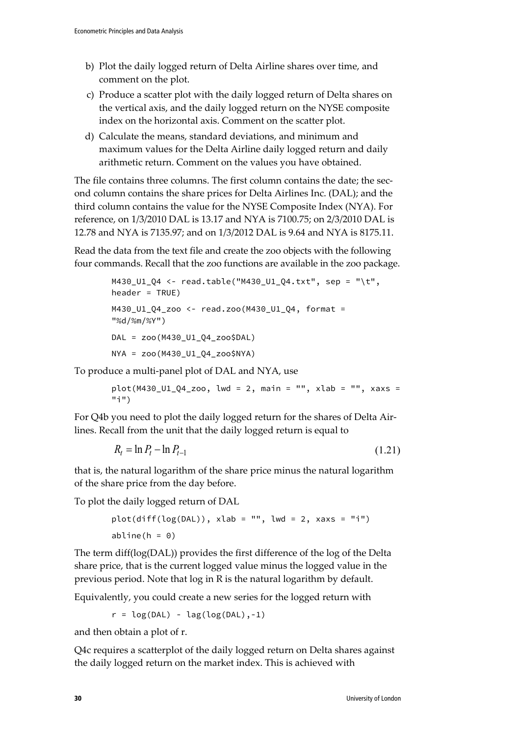- b) Plot the daily logged return of Delta Airline shares over time, and comment on the plot.
- c) Produce a scatter plot with the daily logged return of Delta shares on the vertical axis, and the daily logged return on the NYSE composite index on the horizontal axis. Comment on the scatter plot.
- d) Calculate the means, standard deviations, and minimum and maximum values for the Delta Airline daily logged return and daily arithmetic return. Comment on the values you have obtained.

The file contains three columns. The first column contains the date; the second column contains the share prices for Delta Airlines Inc. (DAL); and the third column contains the value for the NYSE Composite Index (NYA). For reference, on 1/3/2010 DAL is 13.17 and NYA is 7100.75; on 2/3/2010 DAL is 12.78 and NYA is 7135.97; and on 1/3/2012 DAL is 9.64 and NYA is 8175.11.

Read the data from the text file and create the zoo objects with the following four commands. Recall that the zoo functions are available in the zoo package.

```
M430_U1_Q4 <- read.table("M430_U1_Q4.txt", sep = "\t", 
header = TRUE)
M430_U1_Q4_zoo <- read.zoo(M430_U1_Q4, format = 
"%d/%m/%Y")
DAL = zoo(M430_U1_Q4_zoo$DAL)
NYA = zoo(M430_U1_Q4_zoo$NYA)
```
To produce a multi-panel plot of DAL and NYA, use

 $plot(M430_U1_Q4_zo0, Iwd = 2, main = "", xlab = "", xaxs =$ "i")

For Q4b you need to plot the daily logged return for the shares of Delta Airlines. Recall from the unit that the daily logged return is equal to

$$
R_t = \ln P_t - \ln P_{t-1}
$$
\n(1.21)

that is, the natural logarithm of the share price minus the natural logarithm of the share price from the day before.

To plot the daily logged return of DAL

 $plot(diff(log(DAL)), xlab = "", lwd = 2, xaxs = "i")$ abline( $h = 0$ )

The term diff(log(DAL)) provides the first difference of the log of the Delta share price, that is the current logged value minus the logged value in the previous period. Note that log in R is the natural logarithm by default.

Equivalently, you could create a new series for the logged return with

 $r = \log(DAL) - \log(log(DAL), -1)$ 

and then obtain a plot of r.

Q4c requires a scatterplot of the daily logged return on Delta shares against the daily logged return on the market index. This is achieved with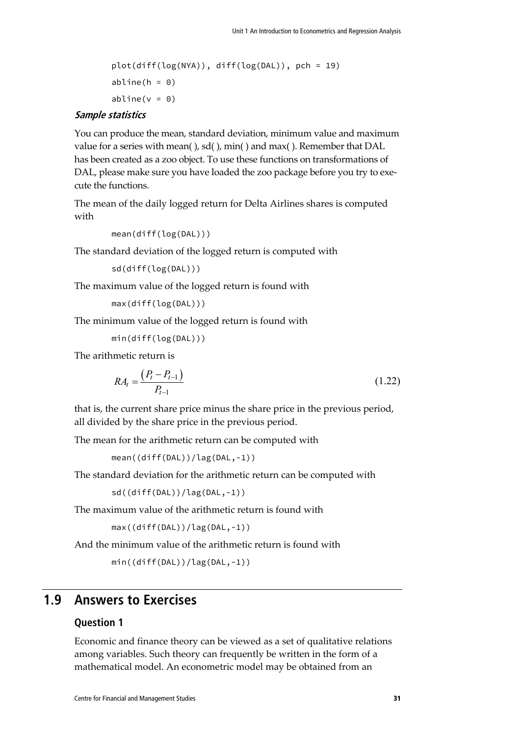plot(diff(log(NYA)), diff(log(DAL)), pch = 19)  $abline(h = 0)$ abline( $v = 0$ )

#### **Sample statistics**

You can produce the mean, standard deviation, minimum value and maximum value for a series with mean( ), sd( ), min( ) and max( ). Remember that DAL has been created as a zoo object. To use these functions on transformations of DAL, please make sure you have loaded the zoo package before you try to execute the functions.

The mean of the daily logged return for Delta Airlines shares is computed with

```
mean(diff(log(DAL)))
```
The standard deviation of the logged return is computed with

```
sd(diff(log(DAL)))
```
The maximum value of the logged return is found with

max(diff(log(DAL)))

The minimum value of the logged return is found with

min(diff(log(DAL)))

The arithmetic return is

$$
RA_{t} = \frac{(P_{t} - P_{t-1})}{P_{t-1}}
$$
\n(1.22)

that is, the current share price minus the share price in the previous period, all divided by the share price in the previous period.

The mean for the arithmetic return can be computed with

mean((diff(DAL))/lag(DAL,-1))

The standard deviation for the arithmetic return can be computed with

sd((diff(DAL))/lag(DAL,-1))

The maximum value of the arithmetic return is found with

```
max((diff(DAL))/lag(DAL,-1))
```
And the minimum value of the arithmetic return is found with

```
min((diff(DAL))/lag(DAL,-1))
```
### **1.9 Answers to Exercises**

#### **Question 1**

Economic and finance theory can be viewed as a set of qualitative relations among variables. Such theory can frequently be written in the form of a mathematical model. An econometric model may be obtained from an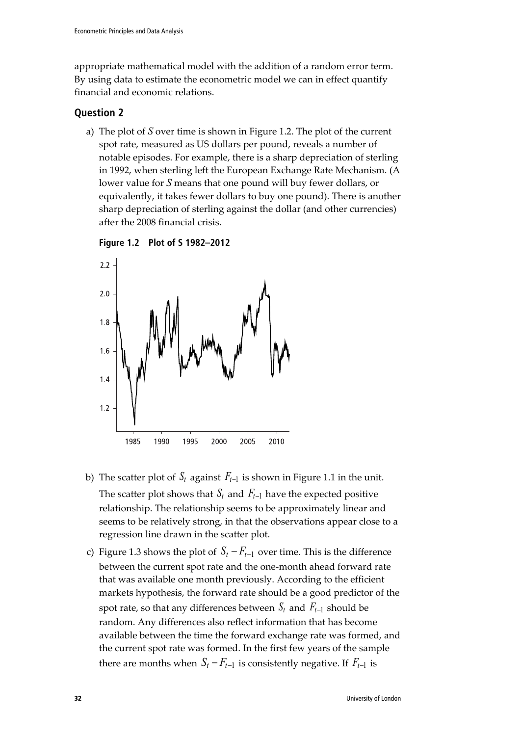appropriate mathematical model with the addition of a random error term. By using data to estimate the econometric model we can in effect quantify financial and economic relations.

### **Question 2**

a) The plot of *S* over time is shown in Figure 1.2. The plot of the current spot rate, measured as US dollars per pound, reveals a number of notable episodes. For example, there is a sharp depreciation of sterling in 1992, when sterling left the European Exchange Rate Mechanism. (A lower value for *S* means that one pound will buy fewer dollars, or equivalently, it takes fewer dollars to buy one pound). There is another sharp depreciation of sterling against the dollar (and other currencies) after the 2008 financial crisis.



**Figure 1.2 Plot of S 1982–2012**

- b) The scatter plot of  $S_t$  against  $F_{t-1}$  is shown in Figure 1.1 in the unit. The scatter plot shows that  $S_t$  and  $F_{t-1}$  have the expected positive relationship. The relationship seems to be approximately linear and seems to be relatively strong, in that the observations appear close to a regression line drawn in the scatter plot.
- c) Figure 1.3 shows the plot of  $S_t F_{t-1}$  over time. This is the difference between the current spot rate and the one-month ahead forward rate that was available one month previously. According to the efficient markets hypothesis, the forward rate should be a good predictor of the spot rate, so that any differences between  $S_t$  and  $F_{t-1}$  should be random. Any differences also reflect information that has become available between the time the forward exchange rate was formed, and the current spot rate was formed. In the first few years of the sample there are months when  $S_t - F_{t-1}$  is consistently negative. If  $F_{t-1}$  is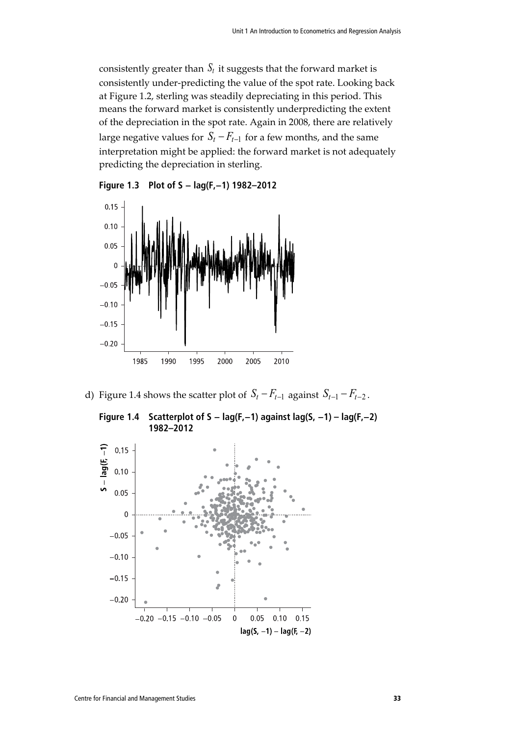consistently greater than  $S_t$  it suggests that the forward market is consistently under-predicting the value of the spot rate. Looking back at Figure 1.2, sterling was steadily depreciating in this period. This means the forward market is consistently underpredicting the extent of the depreciation in the spot rate. Again in 2008, there are relatively large negative values for  $S_t - F_{t-1}$  for a few months, and the same interpretation might be applied: the forward market is not adequately predicting the depreciation in sterling.





d) Figure 1.4 shows the scatter plot of  $S_t - F_{t-1}$  against  $S_{t-1} - F_{t-2}$ .



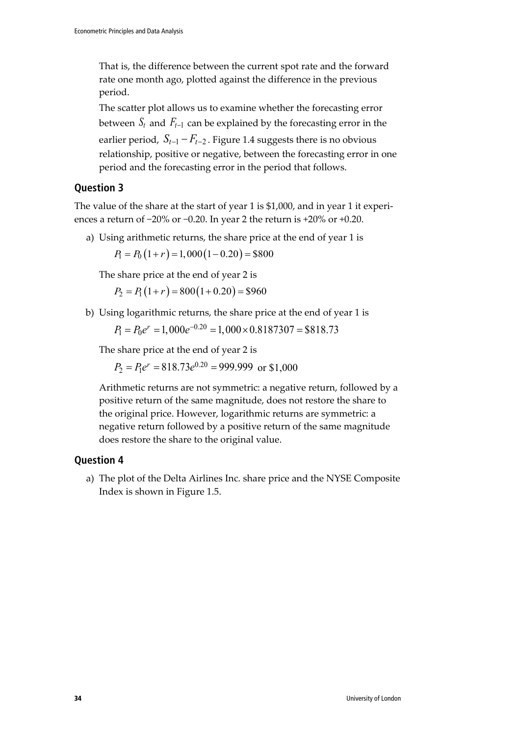That is, the difference between the current spot rate and the forward rate one month ago, plotted against the difference in the previous period.

The scatter plot allows us to examine whether the forecasting error between  $S_t$  and  $F_{t-1}$  can be explained by the forecasting error in the earlier period,  $S_{t-1} - F_{t-2}$ . Figure 1.4 suggests there is no obvious relationship, positive or negative, between the forecasting error in one period and the forecasting error in the period that follows.

### **Question 3**

The value of the share at the start of year 1 is \$1,000, and in year 1 it experiences a return of −20% or −0.20. In year 2 the return is +20% or +0.20.

a) Using arithmetic returns, the share price at the end of year 1 is  $P_1 = P_0 (1+r) = 1,000 (1-0.20) = $800$ 

The share price at the end of year 2 is

 $P_2 = P_1(1+r) = 800(1+0.20) = $960$ 

b) Using logarithmic returns, the share price at the end of year 1 is

 $P_1 = P_0 e^r = 1,000e^{-0.20} = 1,000 \times 0.8187307 = $818.73$ 

The share price at the end of year 2 is

 $P_2 = P_1 e^r = 818.73 e^{0.20} = 999.999$  or \$1,000

Arithmetic returns are not symmetric: a negative return, followed by a positive return of the same magnitude, does not restore the share to the original price. However, logarithmic returns are symmetric: a negative return followed by a positive return of the same magnitude does restore the share to the original value.

### **Question 4**

a) The plot of the Delta Airlines Inc. share price and the NYSE Composite Index is shown in Figure 1.5.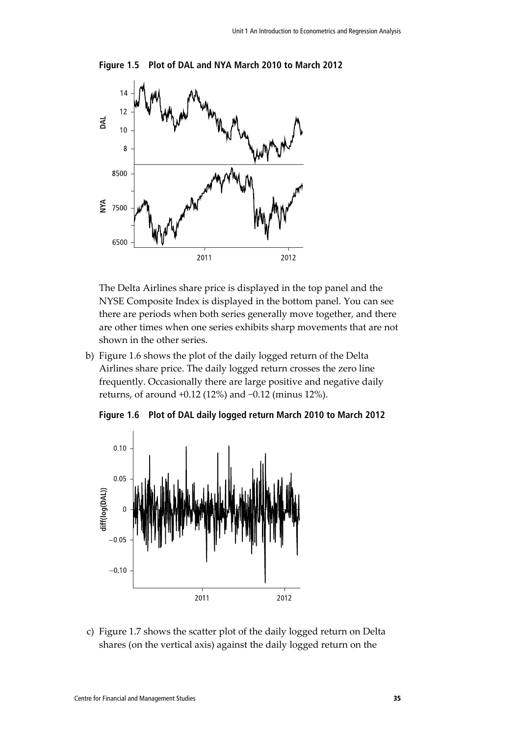

**Figure 1.5 Plot of DAL and NYA March 2010 to March 2012**

The Delta Airlines share price is displayed in the top panel and the NYSE Composite Index is displayed in the bottom panel. You can see there are periods when both series generally move together, and there are other times when one series exhibits sharp movements that are not shown in the other series.

b) Figure 1.6 shows the plot of the daily logged return of the Delta Airlines share price. The daily logged return crosses the zero line frequently. Occasionally there are large positive and negative daily returns, of around +0.12 (12%) and −0.12 (minus 12%).



**Figure 1.6 Plot of DAL daily logged return March 2010 to March 2012**

c) Figure 1.7 shows the scatter plot of the daily logged return on Delta shares (on the vertical axis) against the daily logged return on the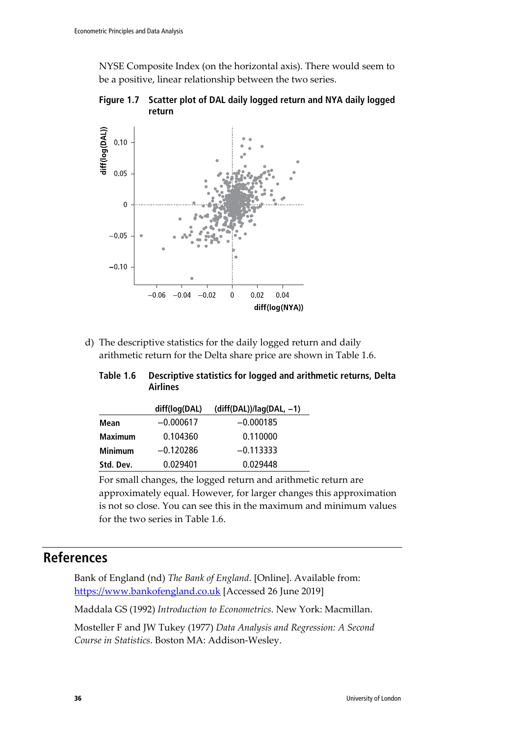NYSE Composite Index (on the horizontal axis). There would seem to be a positive, linear relationship between the two series.





d) The descriptive statistics for the daily logged return and daily arithmetic return for the Delta share price are shown in Table 1.6.

| Table 1.6 | Descriptive statistics for logged and arithmetic returns, Delta |
|-----------|-----------------------------------------------------------------|
|           | <b>Airlines</b>                                                 |

|                | diff(log(DAL) | $(diff(DAL))/lag(DAL, -1)$ |
|----------------|---------------|----------------------------|
| Mean           | $-0.000617$   | $-0.000185$                |
| <b>Maximum</b> | 0.104360      | 0.110000                   |
| <b>Minimum</b> | $-0.120286$   | $-0.113333$                |
| Std. Dev.      | 0.029401      | 0.029448                   |

For small changes, the logged return and arithmetic return are approximately equal. However, for larger changes this approximation is not so close. You can see this in the maximum and minimum values for the two series in Table 1.6.

# **References**

Bank of England (nd) *The Bank of England*. [Online]. Available from: [https://www.bankofengland.co.uk](https://www.bankofengland.co.uk/) [Accessed 26 June 2019]

Maddala GS (1992) *Introduction to Econometrics*. New York: Macmillan.

Mosteller F and JW Tukey (1977) *Data Analysis and Regression: A Second Course in Statistics*. Boston MA: Addison-Wesley.